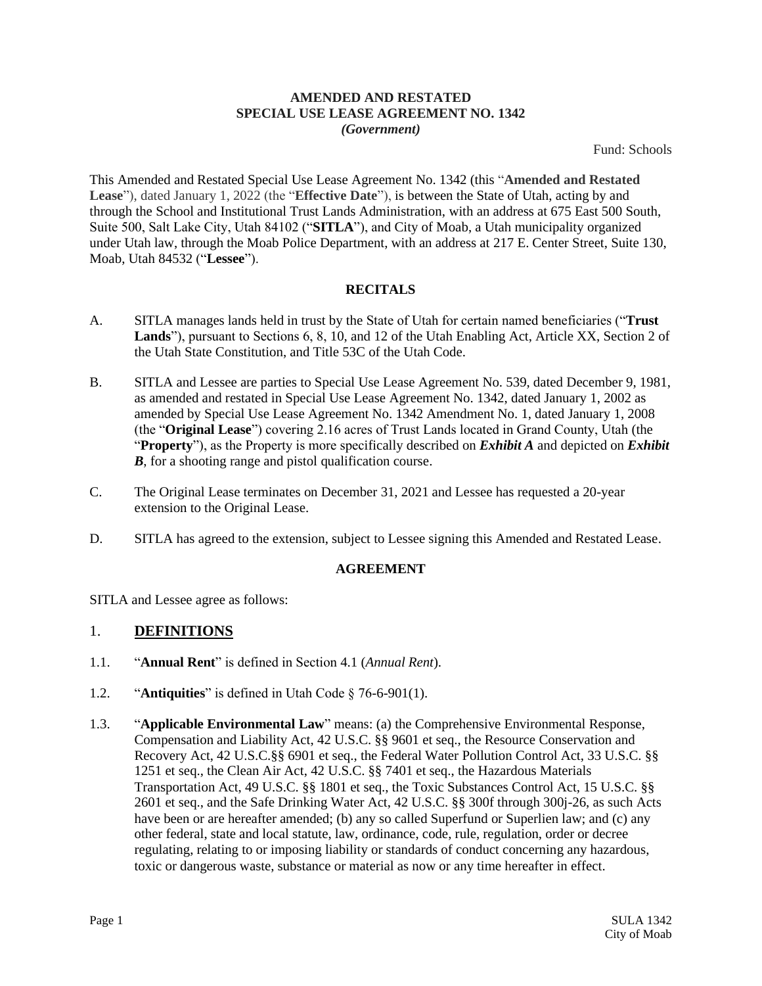#### **AMENDED AND RESTATED SPECIAL USE LEASE AGREEMENT NO. 1342** *(Government)*

Fund: Schools

This Amended and Restated Special Use Lease Agreement No. 1342 (this "**Amended and Restated Lease**"), dated January 1, 2022 (the "**Effective Date**"), is between the State of Utah, acting by and through the School and Institutional Trust Lands Administration, with an address at 675 East 500 South, Suite 500, Salt Lake City, Utah 84102 ("**SITLA**"), and City of Moab, a Utah municipality organized under Utah law, through the Moab Police Department, with an address at 217 E. Center Street, Suite 130, Moab, Utah 84532 ("**Lessee**").

## **RECITALS**

- A. SITLA manages lands held in trust by the State of Utah for certain named beneficiaries ("**Trust Lands**"), pursuant to Sections 6, 8, 10, and 12 of the Utah Enabling Act, Article XX, Section 2 of the Utah State Constitution, and Title 53C of the Utah Code.
- B. SITLA and Lessee are parties to Special Use Lease Agreement No. 539, dated December 9, 1981, as amended and restated in Special Use Lease Agreement No. 1342, dated January 1, 2002 as amended by Special Use Lease Agreement No. 1342 Amendment No. 1, dated January 1, 2008 (the "**Original Lease**") covering 2.16 acres of Trust Lands located in Grand County, Utah (the "**Property**"), as the Property is more specifically described on *Exhibit A* and depicted on *Exhibit B*, for a shooting range and pistol qualification course.
- C. The Original Lease terminates on December 31, 2021 and Lessee has requested a 20-year extension to the Original Lease.
- D. SITLA has agreed to the extension, subject to Lessee signing this Amended and Restated Lease.

### **AGREEMENT**

SITLA and Lessee agree as follows:

## 1. **DEFINITIONS**

- 1.1. "**Annual Rent**" is defined in Section [4.1](#page-5-0) (*Annual Rent*).
- 1.2. "**Antiquities**" is defined in Utah Code § 76-6-901(1).
- 1.3. "**Applicable Environmental Law**" means: (a) the Comprehensive Environmental Response, Compensation and Liability Act, 42 U.S.C. §§ 9601 et seq., the Resource Conservation and Recovery Act, 42 U.S.C.§§ 6901 et seq., the Federal Water Pollution Control Act, 33 U.S.C. §§ 1251 et seq., the Clean Air Act, 42 U.S.C. §§ 7401 et seq., the Hazardous Materials Transportation Act, 49 U.S.C. §§ 1801 et seq., the Toxic Substances Control Act, 15 U.S.C. §§ 2601 et seq., and the Safe Drinking Water Act, 42 U.S.C. §§ 300f through 300j-26, as such Acts have been or are hereafter amended; (b) any so called Superfund or Superlien law; and (c) any other federal, state and local statute, law, ordinance, code, rule, regulation, order or decree regulating, relating to or imposing liability or standards of conduct concerning any hazardous, toxic or dangerous waste, substance or material as now or any time hereafter in effect.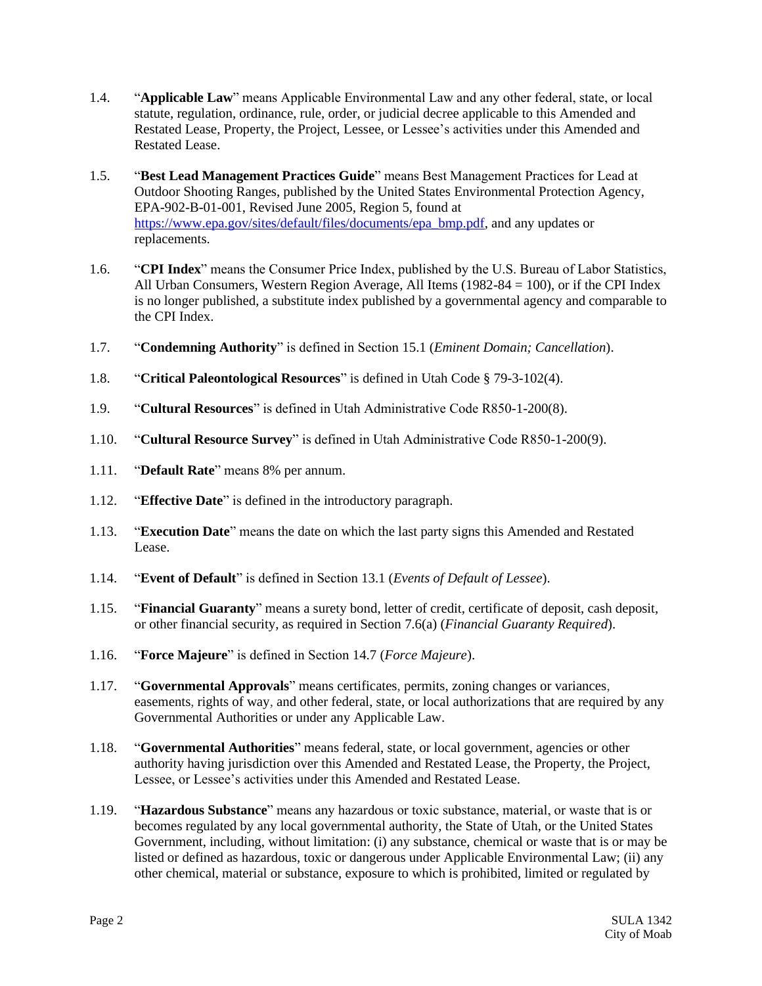- 1.4. "**Applicable Law**" means Applicable Environmental Law and any other federal, state, or local statute, regulation, ordinance, rule, order, or judicial decree applicable to this Amended and Restated Lease, Property, the Project, Lessee, or Lessee's activities under this Amended and Restated Lease.
- 1.5. "**Best Lead Management Practices Guide**" means Best Management Practices for Lead at Outdoor Shooting Ranges, published by the United States Environmental Protection Agency, EPA-902-B-01-001, Revised June 2005, Region 5, found at [https://www.epa.gov/sites/default/files/documents/epa\\_bmp.pdf,](https://www.epa.gov/sites/default/files/documents/epa_bmp.pdf) and any updates or replacements.
- 1.6. "**CPI Index**" means the Consumer Price Index, published by the U.S. Bureau of Labor Statistics, All Urban Consumers, Western Region Average, All Items (1982-84 = 100), or if the CPI Index is no longer published, a substitute index published by a governmental agency and comparable to the CPI Index.
- 1.7. "**Condemning Authority**" is defined in Section [15.1](#page-18-0) (*Eminent Domain; Cancellation*).
- 1.8. "**Critical Paleontological Resources**" is defined in Utah Code § 79-3-102(4).
- 1.9. "**Cultural Resources**" is defined in Utah Administrative Code R850-1-200(8).
- 1.10. "**Cultural Resource Survey**" is defined in Utah Administrative Code R850-1-200(9).
- 1.11. "**Default Rate**" means 8% per annum.
- 1.12. "**Effective Date**" is defined in the introductory paragraph.
- 1.13. "**Execution Date**" means the date on which the last party signs this Amended and Restated Lease.
- 1.14. "**Event of Default**" is defined in Section [13.1](#page-14-0) (*Events of Default of Lessee*).
- 1.15. "**Financial Guaranty**" means a surety bond, letter of credit, certificate of deposit, cash deposit, or other financial security, as required in Section [7.6\(a\)](#page-9-0) (*Financial Guaranty Required*).
- 1.16. "**Force Majeure**" is defined in Section [14.7](#page-17-0) (*Force Majeure*).
- 1.17. "**Governmental Approvals**" means certificates, permits, zoning changes or variances, easements, rights of way, and other federal, state, or local authorizations that are required by any Governmental Authorities or under any Applicable Law.
- 1.18. "**Governmental Authorities**" means federal, state, or local government, agencies or other authority having jurisdiction over this Amended and Restated Lease, the Property, the Project, Lessee, or Lessee's activities under this Amended and Restated Lease.
- 1.19. "**Hazardous Substance**" means any hazardous or toxic substance, material, or waste that is or becomes regulated by any local governmental authority, the State of Utah, or the United States Government, including, without limitation: (i) any substance, chemical or waste that is or may be listed or defined as hazardous, toxic or dangerous under Applicable Environmental Law; (ii) any other chemical, material or substance, exposure to which is prohibited, limited or regulated by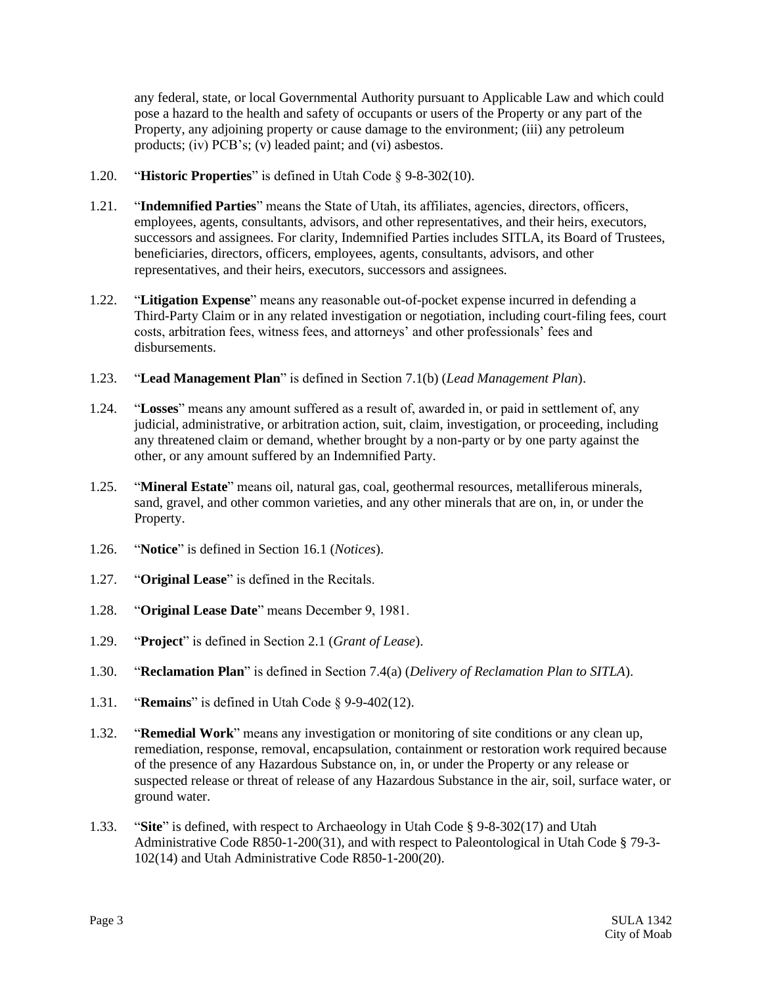any federal, state, or local Governmental Authority pursuant to Applicable Law and which could pose a hazard to the health and safety of occupants or users of the Property or any part of the Property, any adjoining property or cause damage to the environment; (iii) any petroleum products; (iv) PCB's; (v) leaded paint; and (vi) asbestos.

- 1.20. "**Historic Properties**" is defined in Utah Code § 9-8-302(10).
- 1.21. "**Indemnified Parties**" means the State of Utah, its affiliates, agencies, directors, officers, employees, agents, consultants, advisors, and other representatives, and their heirs, executors, successors and assignees. For clarity, Indemnified Parties includes SITLA, its Board of Trustees, beneficiaries, directors, officers, employees, agents, consultants, advisors, and other representatives, and their heirs, executors, successors and assignees.
- 1.22. "**Litigation Expense**" means any reasonable out-of-pocket expense incurred in defending a Third-Party Claim or in any related investigation or negotiation, including court-filing fees, court costs, arbitration fees, witness fees, and attorneys' and other professionals' fees and disbursements.
- 1.23. "**Lead Management Plan**" is defined in Section [7.1\(b\)](#page-7-0) (*Lead Management Plan*).
- 1.24. "**Losses**" means any amount suffered as a result of, awarded in, or paid in settlement of, any judicial, administrative, or arbitration action, suit, claim, investigation, or proceeding, including any threatened claim or demand, whether brought by a non-party or by one party against the other, or any amount suffered by an Indemnified Party.
- 1.25. "**Mineral Estate**" means oil, natural gas, coal, geothermal resources, metalliferous minerals, sand, gravel, and other common varieties, and any other minerals that are on, in, or under the Property.
- 1.26. "**Notice**" is defined in Section [16.1](#page-18-1) (*Notices*).
- 1.27. "**Original Lease**" is defined in the Recitals.
- 1.28. "**Original Lease Date**" means December 9, 1981.
- 1.29. "**Project**" is defined in Section [2.1](#page-3-0) (*Grant of Lease*).
- 1.30. "**Reclamation Plan**" is defined in Section [7.4\(a\)](#page-8-0) (*Delivery of Reclamation Plan to SITLA*).
- 1.31. "**Remains**" is defined in Utah Code § 9-9-402(12).
- 1.32. "**Remedial Work**" means any investigation or monitoring of site conditions or any clean up, remediation, response, removal, encapsulation, containment or restoration work required because of the presence of any Hazardous Substance on, in, or under the Property or any release or suspected release or threat of release of any Hazardous Substance in the air, soil, surface water, or ground water.
- 1.33. "**Site**" is defined, with respect to Archaeology in Utah Code § 9-8-302(17) and Utah Administrative Code R850-1-200(31), and with respect to Paleontological in Utah Code § 79-3- 102(14) and Utah Administrative Code R850-1-200(20).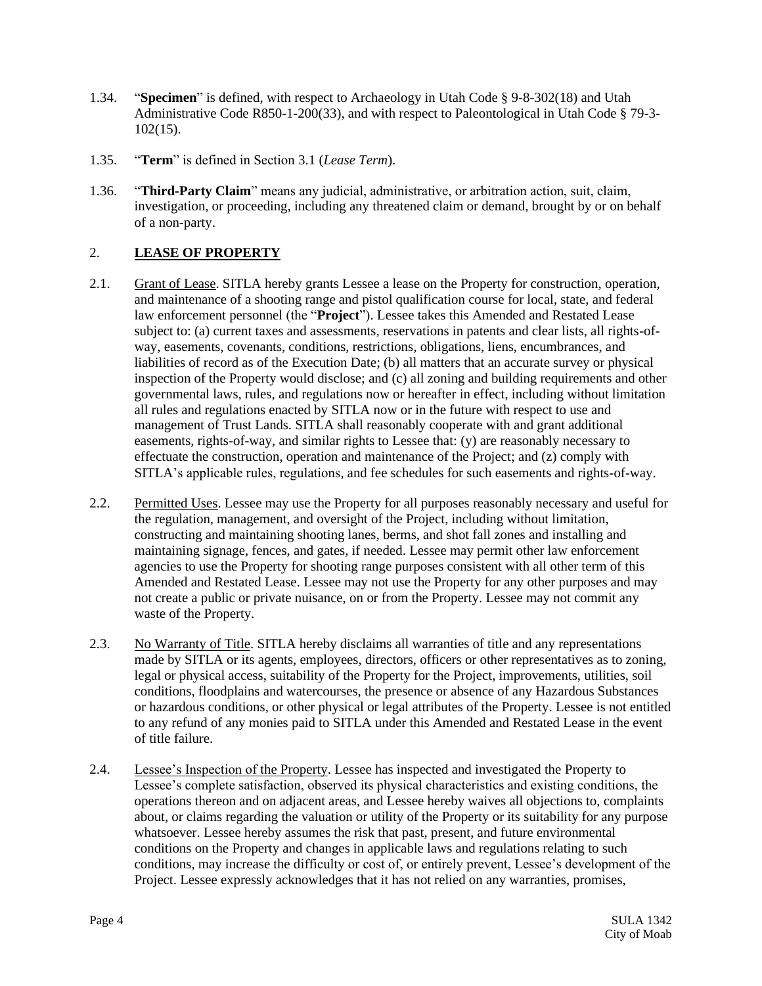- 1.34. "**Specimen**" is defined, with respect to Archaeology in Utah Code § 9-8-302(18) and Utah Administrative Code R850-1-200(33), and with respect to Paleontological in Utah Code § 79-3- 102(15).
- 1.35. "**Term**" is defined in Section [3.1](#page-4-0) (*Lease Term*).
- 1.36. "**Third-Party Claim**" means any judicial, administrative, or arbitration action, suit, claim, investigation, or proceeding, including any threatened claim or demand, brought by or on behalf of a non-party.

# 2. **LEASE OF PROPERTY**

- <span id="page-3-0"></span>2.1. Grant of Lease. SITLA hereby grants Lessee a lease on the Property for construction, operation, and maintenance of a shooting range and pistol qualification course for local, state, and federal law enforcement personnel (the "**Project**"). Lessee takes this Amended and Restated Lease subject to: (a) current taxes and assessments, reservations in patents and clear lists, all rights-ofway, easements, covenants, conditions, restrictions, obligations, liens, encumbrances, and liabilities of record as of the Execution Date; (b) all matters that an accurate survey or physical inspection of the Property would disclose; and (c) all zoning and building requirements and other governmental laws, rules, and regulations now or hereafter in effect, including without limitation all rules and regulations enacted by SITLA now or in the future with respect to use and management of Trust Lands. SITLA shall reasonably cooperate with and grant additional easements, rights-of-way, and similar rights to Lessee that: (y) are reasonably necessary to effectuate the construction, operation and maintenance of the Project; and (z) comply with SITLA's applicable rules, regulations, and fee schedules for such easements and rights-of-way.
- 2.2. Permitted Uses. Lessee may use the Property for all purposes reasonably necessary and useful for the regulation, management, and oversight of the Project, including without limitation, constructing and maintaining shooting lanes, berms, and shot fall zones and installing and maintaining signage, fences, and gates, if needed. Lessee may permit other law enforcement agencies to use the Property for shooting range purposes consistent with all other term of this Amended and Restated Lease. Lessee may not use the Property for any other purposes and may not create a public or private nuisance, on or from the Property. Lessee may not commit any waste of the Property.
- 2.3. No Warranty of Title. SITLA hereby disclaims all warranties of title and any representations made by SITLA or its agents, employees, directors, officers or other representatives as to zoning, legal or physical access, suitability of the Property for the Project, improvements, utilities, soil conditions, floodplains and watercourses, the presence or absence of any Hazardous Substances or hazardous conditions, or other physical or legal attributes of the Property. Lessee is not entitled to any refund of any monies paid to SITLA under this Amended and Restated Lease in the event of title failure.
- 2.4. Lessee's Inspection of the Property. Lessee has inspected and investigated the Property to Lessee's complete satisfaction, observed its physical characteristics and existing conditions, the operations thereon and on adjacent areas, and Lessee hereby waives all objections to, complaints about, or claims regarding the valuation or utility of the Property or its suitability for any purpose whatsoever. Lessee hereby assumes the risk that past, present, and future environmental conditions on the Property and changes in applicable laws and regulations relating to such conditions, may increase the difficulty or cost of, or entirely prevent, Lessee's development of the Project. Lessee expressly acknowledges that it has not relied on any warranties, promises,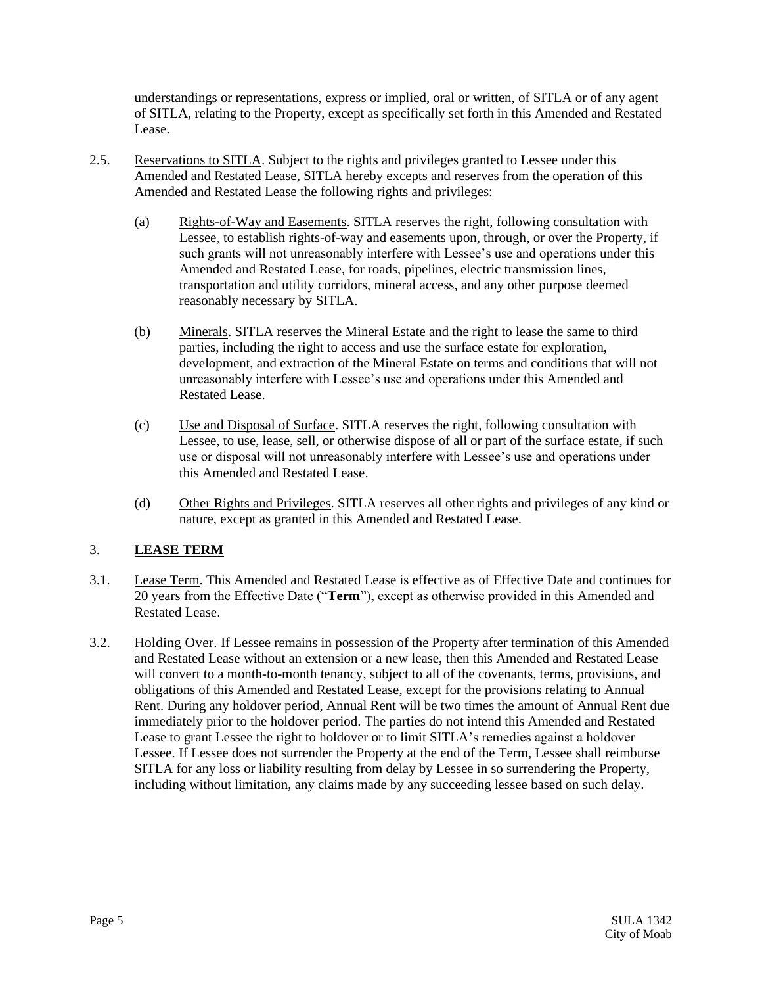understandings or representations, express or implied, oral or written, of SITLA or of any agent of SITLA, relating to the Property, except as specifically set forth in this Amended and Restated Lease.

- <span id="page-4-1"></span>2.5. Reservations to SITLA. Subject to the rights and privileges granted to Lessee under this Amended and Restated Lease, SITLA hereby excepts and reserves from the operation of this Amended and Restated Lease the following rights and privileges:
	- (a) Rights-of-Way and Easements. SITLA reserves the right, following consultation with Lessee, to establish rights-of-way and easements upon, through, or over the Property, if such grants will not unreasonably interfere with Lessee's use and operations under this Amended and Restated Lease, for roads, pipelines, electric transmission lines, transportation and utility corridors, mineral access, and any other purpose deemed reasonably necessary by SITLA.
	- (b) Minerals. SITLA reserves the Mineral Estate and the right to lease the same to third parties, including the right to access and use the surface estate for exploration, development, and extraction of the Mineral Estate on terms and conditions that will not unreasonably interfere with Lessee's use and operations under this Amended and Restated Lease.
	- (c) Use and Disposal of Surface. SITLA reserves the right, following consultation with Lessee, to use, lease, sell, or otherwise dispose of all or part of the surface estate, if such use or disposal will not unreasonably interfere with Lessee's use and operations under this Amended and Restated Lease.
	- (d) Other Rights and Privileges. SITLA reserves all other rights and privileges of any kind or nature, except as granted in this Amended and Restated Lease.

## 3. **LEASE TERM**

- <span id="page-4-0"></span>3.1. Lease Term. This Amended and Restated Lease is effective as of Effective Date and continues for 20 years from the Effective Date ("**Term**"), except as otherwise provided in this Amended and Restated Lease.
- <span id="page-4-2"></span>3.2. Holding Over. If Lessee remains in possession of the Property after termination of this Amended and Restated Lease without an extension or a new lease, then this Amended and Restated Lease will convert to a month-to-month tenancy, subject to all of the covenants, terms, provisions, and obligations of this Amended and Restated Lease, except for the provisions relating to Annual Rent. During any holdover period, Annual Rent will be two times the amount of Annual Rent due immediately prior to the holdover period. The parties do not intend this Amended and Restated Lease to grant Lessee the right to holdover or to limit SITLA's remedies against a holdover Lessee. If Lessee does not surrender the Property at the end of the Term, Lessee shall reimburse SITLA for any loss or liability resulting from delay by Lessee in so surrendering the Property, including without limitation, any claims made by any succeeding lessee based on such delay.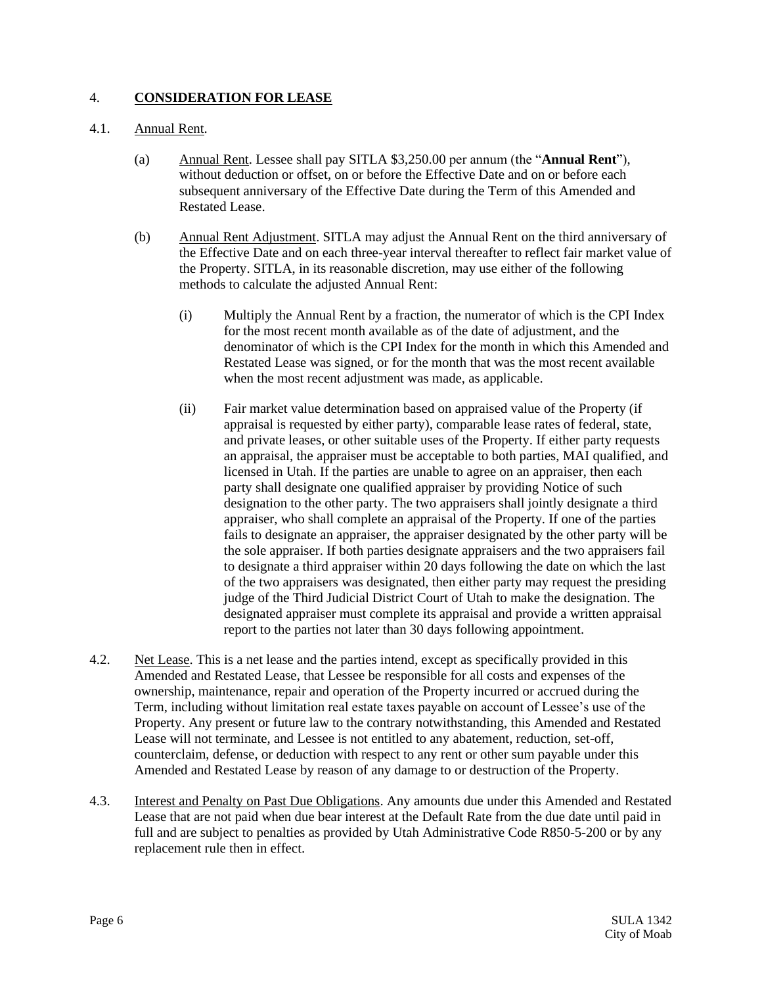## 4. **CONSIDERATION FOR LEASE**

### <span id="page-5-0"></span>4.1. Annual Rent.

- (a) Annual Rent. Lessee shall pay SITLA \$3,250.00 per annum (the "**Annual Rent**"), without deduction or offset, on or before the Effective Date and on or before each subsequent anniversary of the Effective Date during the Term of this Amended and Restated Lease.
- (b) Annual Rent Adjustment. SITLA may adjust the Annual Rent on the third anniversary of the Effective Date and on each three-year interval thereafter to reflect fair market value of the Property. SITLA, in its reasonable discretion, may use either of the following methods to calculate the adjusted Annual Rent:
	- (i) Multiply the Annual Rent by a fraction, the numerator of which is the CPI Index for the most recent month available as of the date of adjustment, and the denominator of which is the CPI Index for the month in which this Amended and Restated Lease was signed, or for the month that was the most recent available when the most recent adjustment was made, as applicable.
	- (ii) Fair market value determination based on appraised value of the Property (if appraisal is requested by either party), comparable lease rates of federal, state, and private leases, or other suitable uses of the Property. If either party requests an appraisal, the appraiser must be acceptable to both parties, MAI qualified, and licensed in Utah. If the parties are unable to agree on an appraiser, then each party shall designate one qualified appraiser by providing Notice of such designation to the other party. The two appraisers shall jointly designate a third appraiser, who shall complete an appraisal of the Property. If one of the parties fails to designate an appraiser, the appraiser designated by the other party will be the sole appraiser. If both parties designate appraisers and the two appraisers fail to designate a third appraiser within 20 days following the date on which the last of the two appraisers was designated, then either party may request the presiding judge of the Third Judicial District Court of Utah to make the designation. The designated appraiser must complete its appraisal and provide a written appraisal report to the parties not later than 30 days following appointment.
- 4.2. Net Lease. This is a net lease and the parties intend, except as specifically provided in this Amended and Restated Lease, that Lessee be responsible for all costs and expenses of the ownership, maintenance, repair and operation of the Property incurred or accrued during the Term, including without limitation real estate taxes payable on account of Lessee's use of the Property. Any present or future law to the contrary notwithstanding, this Amended and Restated Lease will not terminate, and Lessee is not entitled to any abatement, reduction, set-off, counterclaim, defense, or deduction with respect to any rent or other sum payable under this Amended and Restated Lease by reason of any damage to or destruction of the Property.
- 4.3. Interest and Penalty on Past Due Obligations. Any amounts due under this Amended and Restated Lease that are not paid when due bear interest at the Default Rate from the due date until paid in full and are subject to penalties as provided by Utah Administrative Code R850-5-200 or by any replacement rule then in effect.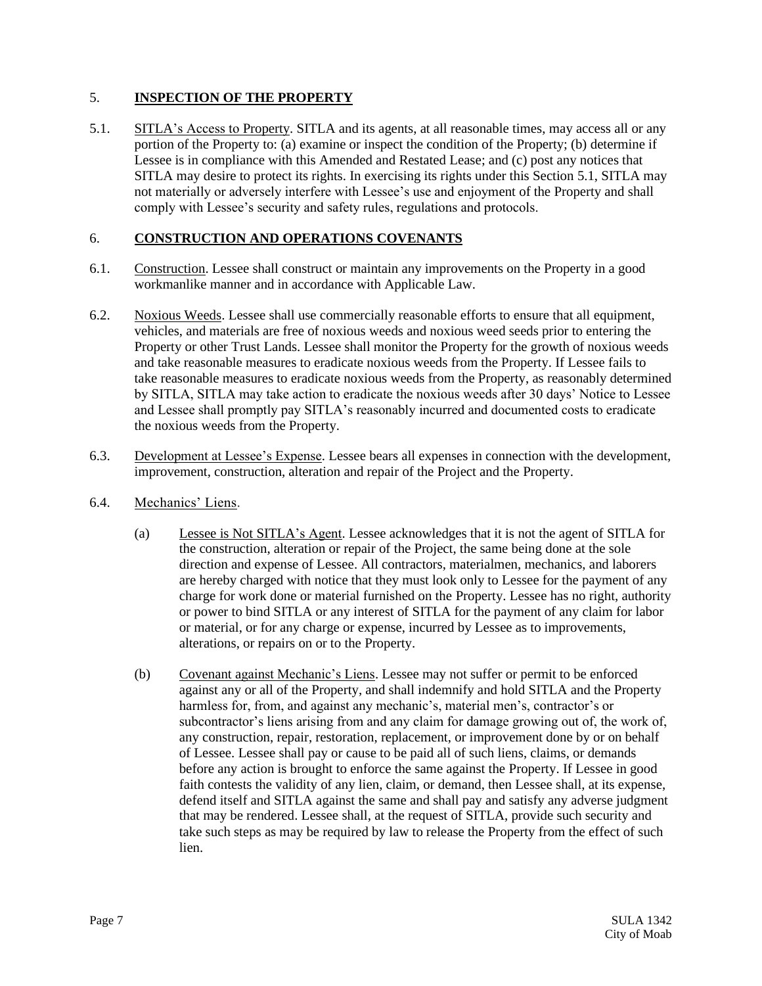## 5. **INSPECTION OF THE PROPERTY**

<span id="page-6-0"></span>5.1. SITLA's Access to Property. SITLA and its agents, at all reasonable times, may access all or any portion of the Property to: (a) examine or inspect the condition of the Property; (b) determine if Lessee is in compliance with this Amended and Restated Lease; and (c) post any notices that SITLA may desire to protect its rights. In exercising its rights under this Section [5.1,](#page-6-0) SITLA may not materially or adversely interfere with Lessee's use and enjoyment of the Property and shall comply with Lessee's security and safety rules, regulations and protocols.

## 6. **CONSTRUCTION AND OPERATIONS COVENANTS**

- 6.1. Construction. Lessee shall construct or maintain any improvements on the Property in a good workmanlike manner and in accordance with Applicable Law.
- 6.2. Noxious Weeds. Lessee shall use commercially reasonable efforts to ensure that all equipment, vehicles, and materials are free of noxious weeds and noxious weed seeds prior to entering the Property or other Trust Lands. Lessee shall monitor the Property for the growth of noxious weeds and take reasonable measures to eradicate noxious weeds from the Property. If Lessee fails to take reasonable measures to eradicate noxious weeds from the Property, as reasonably determined by SITLA, SITLA may take action to eradicate the noxious weeds after 30 days' Notice to Lessee and Lessee shall promptly pay SITLA's reasonably incurred and documented costs to eradicate the noxious weeds from the Property.
- 6.3. Development at Lessee's Expense. Lessee bears all expenses in connection with the development, improvement, construction, alteration and repair of the Project and the Property.
- 6.4. Mechanics' Liens.
	- (a) Lessee is Not SITLA's Agent. Lessee acknowledges that it is not the agent of SITLA for the construction, alteration or repair of the Project, the same being done at the sole direction and expense of Lessee. All contractors, materialmen, mechanics, and laborers are hereby charged with notice that they must look only to Lessee for the payment of any charge for work done or material furnished on the Property. Lessee has no right, authority or power to bind SITLA or any interest of SITLA for the payment of any claim for labor or material, or for any charge or expense, incurred by Lessee as to improvements, alterations, or repairs on or to the Property.
	- (b) Covenant against Mechanic's Liens. Lessee may not suffer or permit to be enforced against any or all of the Property, and shall indemnify and hold SITLA and the Property harmless for, from, and against any mechanic's, material men's, contractor's or subcontractor's liens arising from and any claim for damage growing out of, the work of, any construction, repair, restoration, replacement, or improvement done by or on behalf of Lessee. Lessee shall pay or cause to be paid all of such liens, claims, or demands before any action is brought to enforce the same against the Property. If Lessee in good faith contests the validity of any lien, claim, or demand, then Lessee shall, at its expense, defend itself and SITLA against the same and shall pay and satisfy any adverse judgment that may be rendered. Lessee shall, at the request of SITLA, provide such security and take such steps as may be required by law to release the Property from the effect of such lien.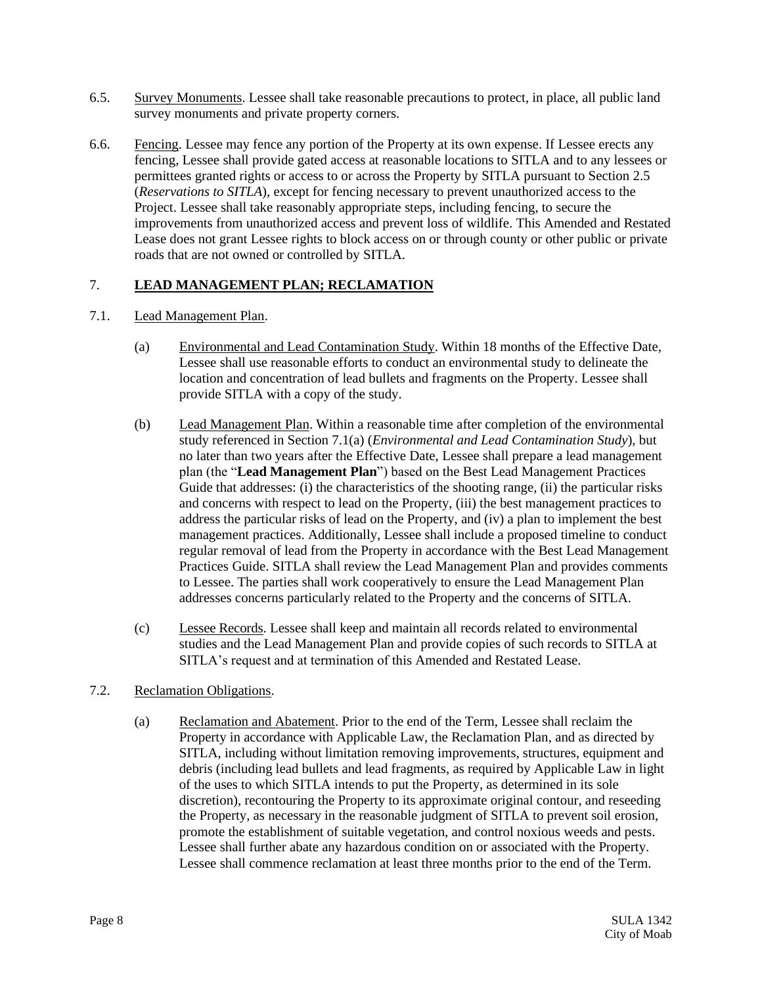- 6.5. Survey Monuments. Lessee shall take reasonable precautions to protect, in place, all public land survey monuments and private property corners.
- 6.6. Fencing. Lessee may fence any portion of the Property at its own expense. If Lessee erects any fencing, Lessee shall provide gated access at reasonable locations to SITLA and to any lessees or permittees granted rights or access to or across the Property by SITLA pursuant to Sectio[n 2.5](#page-4-1) (*Reservations to SITLA*), except for fencing necessary to prevent unauthorized access to the Project. Lessee shall take reasonably appropriate steps, including fencing, to secure the improvements from unauthorized access and prevent loss of wildlife. This Amended and Restated Lease does not grant Lessee rights to block access on or through county or other public or private roads that are not owned or controlled by SITLA.

## 7. **LEAD MANAGEMENT PLAN; RECLAMATION**

- <span id="page-7-1"></span><span id="page-7-0"></span>7.1. Lead Management Plan.
	- (a) Environmental and Lead Contamination Study. Within 18 months of the Effective Date, Lessee shall use reasonable efforts to conduct an environmental study to delineate the location and concentration of lead bullets and fragments on the Property. Lessee shall provide SITLA with a copy of the study.
	- (b) Lead Management Plan. Within a reasonable time after completion of the environmental study referenced in Section [7.1\(a\)](#page-7-1) (*Environmental and Lead Contamination Study*), but no later than two years after the Effective Date, Lessee shall prepare a lead management plan (the "**Lead Management Plan**") based on the Best Lead Management Practices Guide that addresses: (i) the characteristics of the shooting range, (ii) the particular risks and concerns with respect to lead on the Property, (iii) the best management practices to address the particular risks of lead on the Property, and (iv) a plan to implement the best management practices. Additionally, Lessee shall include a proposed timeline to conduct regular removal of lead from the Property in accordance with the Best Lead Management Practices Guide. SITLA shall review the Lead Management Plan and provides comments to Lessee. The parties shall work cooperatively to ensure the Lead Management Plan addresses concerns particularly related to the Property and the concerns of SITLA.
	- (c) Lessee Records. Lessee shall keep and maintain all records related to environmental studies and the Lead Management Plan and provide copies of such records to SITLA at SITLA's request and at termination of this Amended and Restated Lease.
- <span id="page-7-3"></span><span id="page-7-2"></span>7.2. Reclamation Obligations.
	- (a) Reclamation and Abatement. Prior to the end of the Term, Lessee shall reclaim the Property in accordance with Applicable Law, the Reclamation Plan, and as directed by SITLA, including without limitation removing improvements, structures, equipment and debris (including lead bullets and lead fragments, as required by Applicable Law in light of the uses to which SITLA intends to put the Property, as determined in its sole discretion), recontouring the Property to its approximate original contour, and reseeding the Property, as necessary in the reasonable judgment of SITLA to prevent soil erosion, promote the establishment of suitable vegetation, and control noxious weeds and pests. Lessee shall further abate any hazardous condition on or associated with the Property. Lessee shall commence reclamation at least three months prior to the end of the Term.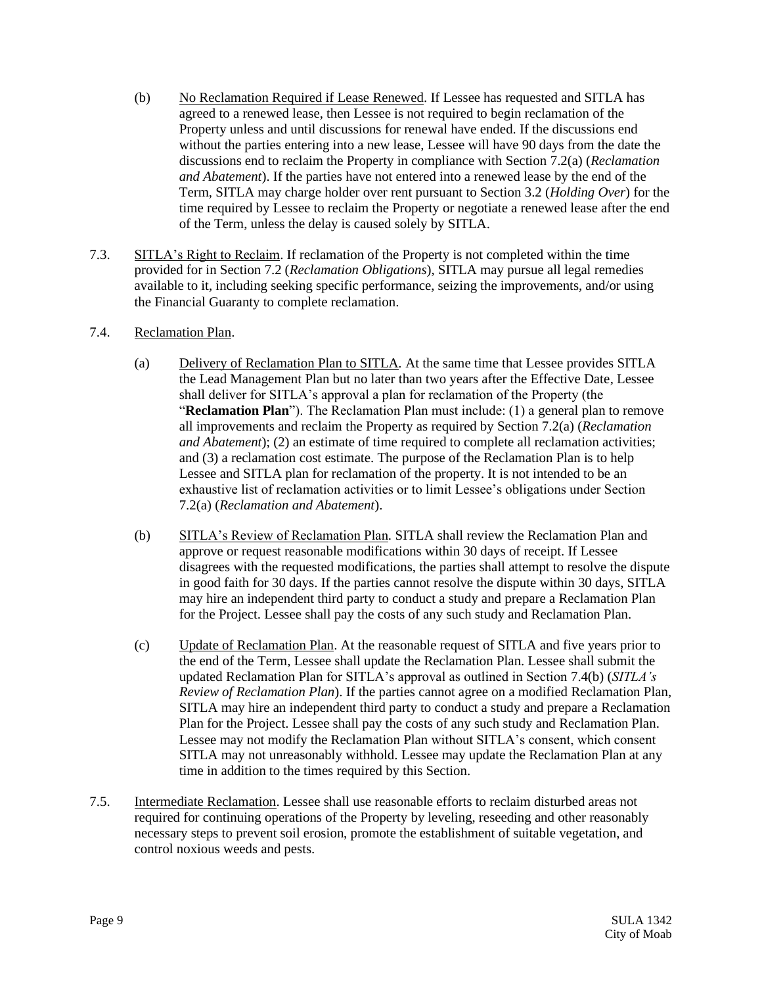- (b) No Reclamation Required if Lease Renewed. If Lessee has requested and SITLA has agreed to a renewed lease, then Lessee is not required to begin reclamation of the Property unless and until discussions for renewal have ended. If the discussions end without the parties entering into a new lease, Lessee will have 90 days from the date the discussions end to reclaim the Property in compliance with Section [7.2\(a\)](#page-7-2) (*Reclamation and Abatement*). If the parties have not entered into a renewed lease by the end of the Term, SITLA may charge holder over rent pursuant to Section [3.2](#page-4-2) (*Holding Over*) for the time required by Lessee to reclaim the Property or negotiate a renewed lease after the end of the Term, unless the delay is caused solely by SITLA.
- 7.3. SITLA's Right to Reclaim. If reclamation of the Property is not completed within the time provided for in Section [7.2](#page-7-3) (*Reclamation Obligations*), SITLA may pursue all legal remedies available to it, including seeking specific performance, seizing the improvements, and/or using the Financial Guaranty to complete reclamation.
- <span id="page-8-1"></span><span id="page-8-0"></span>7.4. Reclamation Plan.
	- (a) Delivery of Reclamation Plan to SITLA*.* At the same time that Lessee provides SITLA the Lead Management Plan but no later than two years after the Effective Date, Lessee shall deliver for SITLA's approval a plan for reclamation of the Property (the "**Reclamation Plan**"). The Reclamation Plan must include: (1) a general plan to remove all improvements and reclaim the Property as required by Section [7.2\(a\)](#page-7-2) (*Reclamation and Abatement*); (2) an estimate of time required to complete all reclamation activities; and (3) a reclamation cost estimate. The purpose of the Reclamation Plan is to help Lessee and SITLA plan for reclamation of the property. It is not intended to be an exhaustive list of reclamation activities or to limit Lessee's obligations under Section [7.2\(a\)](#page-7-2) (*Reclamation and Abatement*).
	- (b) SITLA's Review of Reclamation Plan*.* SITLA shall review the Reclamation Plan and approve or request reasonable modifications within 30 days of receipt. If Lessee disagrees with the requested modifications, the parties shall attempt to resolve the dispute in good faith for 30 days. If the parties cannot resolve the dispute within 30 days, SITLA may hire an independent third party to conduct a study and prepare a Reclamation Plan for the Project. Lessee shall pay the costs of any such study and Reclamation Plan.
	- (c) Update of Reclamation Plan. At the reasonable request of SITLA and five years prior to the end of the Term, Lessee shall update the Reclamation Plan. Lessee shall submit the updated Reclamation Plan for SITLA's approval as outlined in Section [7.4\(b\)](#page-8-1) (*SITLA's Review of Reclamation Plan*). If the parties cannot agree on a modified Reclamation Plan, SITLA may hire an independent third party to conduct a study and prepare a Reclamation Plan for the Project. Lessee shall pay the costs of any such study and Reclamation Plan. Lessee may not modify the Reclamation Plan without SITLA's consent, which consent SITLA may not unreasonably withhold. Lessee may update the Reclamation Plan at any time in addition to the times required by this Section.
- 7.5. Intermediate Reclamation. Lessee shall use reasonable efforts to reclaim disturbed areas not required for continuing operations of the Property by leveling, reseeding and other reasonably necessary steps to prevent soil erosion, promote the establishment of suitable vegetation, and control noxious weeds and pests.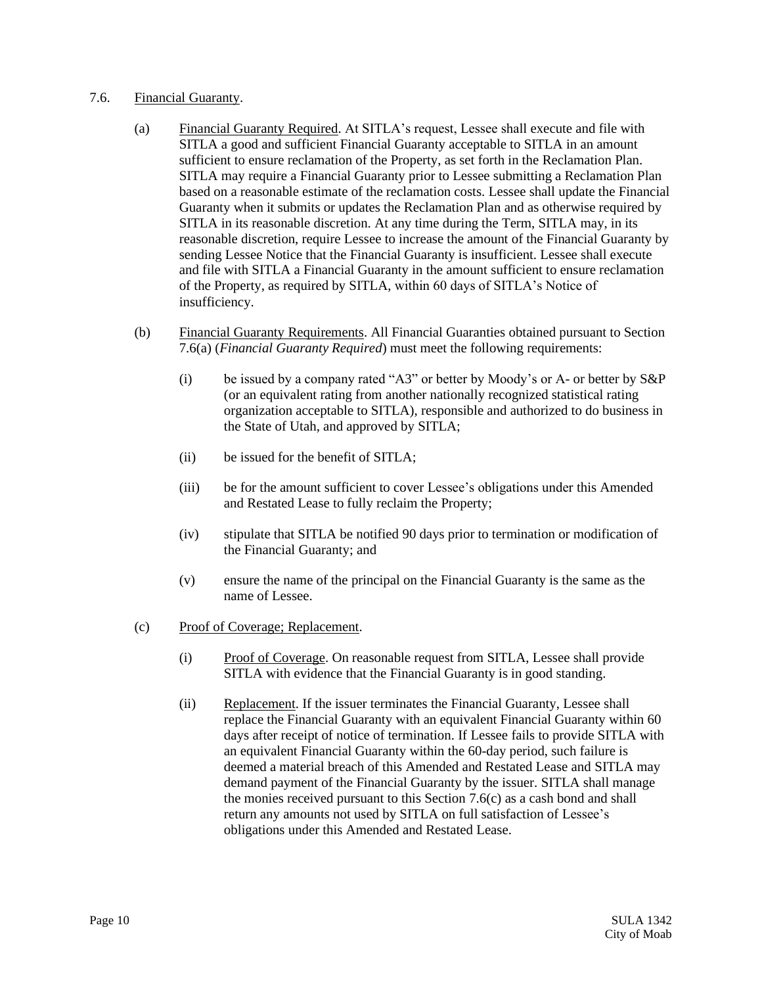### <span id="page-9-2"></span><span id="page-9-0"></span>7.6. Financial Guaranty.

- (a) Financial Guaranty Required. At SITLA's request, Lessee shall execute and file with SITLA a good and sufficient Financial Guaranty acceptable to SITLA in an amount sufficient to ensure reclamation of the Property, as set forth in the Reclamation Plan. SITLA may require a Financial Guaranty prior to Lessee submitting a Reclamation Plan based on a reasonable estimate of the reclamation costs. Lessee shall update the Financial Guaranty when it submits or updates the Reclamation Plan and as otherwise required by SITLA in its reasonable discretion. At any time during the Term, SITLA may, in its reasonable discretion, require Lessee to increase the amount of the Financial Guaranty by sending Lessee Notice that the Financial Guaranty is insufficient. Lessee shall execute and file with SITLA a Financial Guaranty in the amount sufficient to ensure reclamation of the Property, as required by SITLA, within 60 days of SITLA's Notice of insufficiency.
- (b) Financial Guaranty Requirements. All Financial Guaranties obtained pursuant to Section [7.6\(a\)](#page-9-0) (*Financial Guaranty Required*) must meet the following requirements:
	- (i) be issued by a company rated "A3" or better by Moody's or A- or better by S&P (or an equivalent rating from another nationally recognized statistical rating organization acceptable to SITLA), responsible and authorized to do business in the State of Utah, and approved by SITLA;
	- (ii) be issued for the benefit of SITLA;
	- (iii) be for the amount sufficient to cover Lessee's obligations under this Amended and Restated Lease to fully reclaim the Property;
	- (iv) stipulate that SITLA be notified 90 days prior to termination or modification of the Financial Guaranty; and
	- (v) ensure the name of the principal on the Financial Guaranty is the same as the name of Lessee.
- <span id="page-9-1"></span>(c) Proof of Coverage; Replacement.
	- (i) Proof of Coverage. On reasonable request from SITLA, Lessee shall provide SITLA with evidence that the Financial Guaranty is in good standing.
	- (ii) Replacement. If the issuer terminates the Financial Guaranty, Lessee shall replace the Financial Guaranty with an equivalent Financial Guaranty within 60 days after receipt of notice of termination. If Lessee fails to provide SITLA with an equivalent Financial Guaranty within the 60-day period, such failure is deemed a material breach of this Amended and Restated Lease and SITLA may demand payment of the Financial Guaranty by the issuer. SITLA shall manage the monies received pursuant to this Section [7.6\(c\)](#page-9-1) as a cash bond and shall return any amounts not used by SITLA on full satisfaction of Lessee's obligations under this Amended and Restated Lease.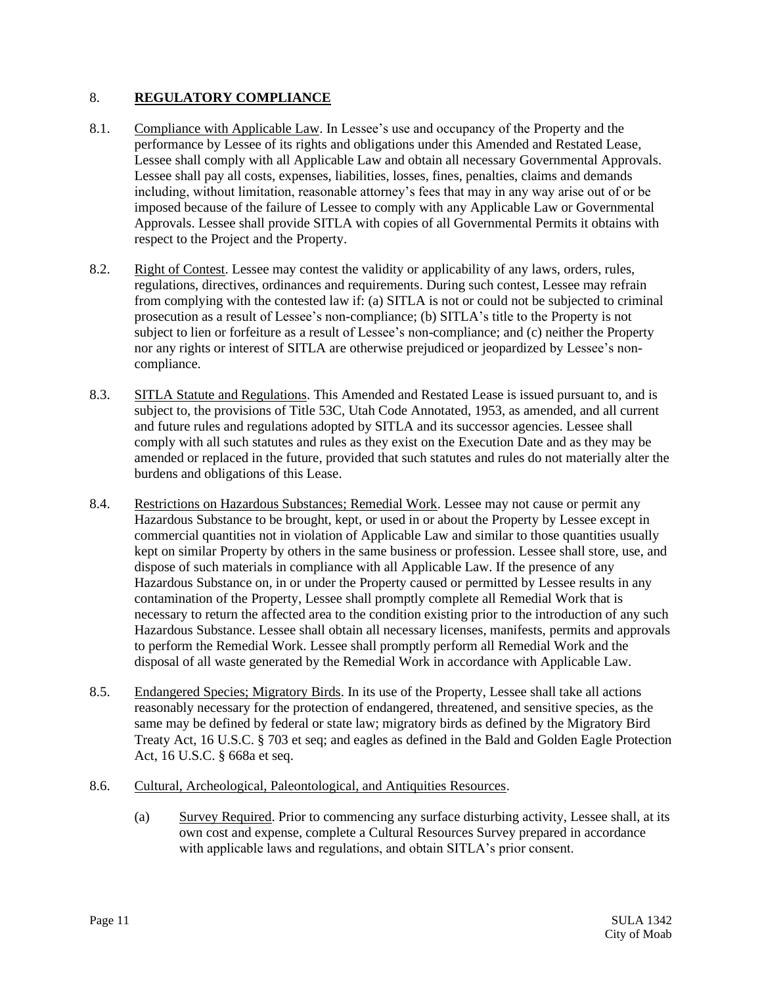## 8. **REGULATORY COMPLIANCE**

- 8.1. Compliance with Applicable Law. In Lessee's use and occupancy of the Property and the performance by Lessee of its rights and obligations under this Amended and Restated Lease, Lessee shall comply with all Applicable Law and obtain all necessary Governmental Approvals. Lessee shall pay all costs, expenses, liabilities, losses, fines, penalties, claims and demands including, without limitation, reasonable attorney's fees that may in any way arise out of or be imposed because of the failure of Lessee to comply with any Applicable Law or Governmental Approvals. Lessee shall provide SITLA with copies of all Governmental Permits it obtains with respect to the Project and the Property.
- 8.2. Right of Contest. Lessee may contest the validity or applicability of any laws, orders, rules, regulations, directives, ordinances and requirements. During such contest, Lessee may refrain from complying with the contested law if: (a) SITLA is not or could not be subjected to criminal prosecution as a result of Lessee's non-compliance; (b) SITLA's title to the Property is not subject to lien or forfeiture as a result of Lessee's non-compliance; and (c) neither the Property nor any rights or interest of SITLA are otherwise prejudiced or jeopardized by Lessee's noncompliance.
- 8.3. SITLA Statute and Regulations. This Amended and Restated Lease is issued pursuant to, and is subject to, the provisions of Title 53C, Utah Code Annotated, 1953, as amended, and all current and future rules and regulations adopted by SITLA and its successor agencies. Lessee shall comply with all such statutes and rules as they exist on the Execution Date and as they may be amended or replaced in the future, provided that such statutes and rules do not materially alter the burdens and obligations of this Lease.
- 8.4. Restrictions on Hazardous Substances; Remedial Work. Lessee may not cause or permit any Hazardous Substance to be brought, kept, or used in or about the Property by Lessee except in commercial quantities not in violation of Applicable Law and similar to those quantities usually kept on similar Property by others in the same business or profession. Lessee shall store, use, and dispose of such materials in compliance with all Applicable Law. If the presence of any Hazardous Substance on, in or under the Property caused or permitted by Lessee results in any contamination of the Property, Lessee shall promptly complete all Remedial Work that is necessary to return the affected area to the condition existing prior to the introduction of any such Hazardous Substance. Lessee shall obtain all necessary licenses, manifests, permits and approvals to perform the Remedial Work. Lessee shall promptly perform all Remedial Work and the disposal of all waste generated by the Remedial Work in accordance with Applicable Law.
- 8.5. Endangered Species; Migratory Birds. In its use of the Property, Lessee shall take all actions reasonably necessary for the protection of endangered, threatened, and sensitive species, as the same may be defined by federal or state law; migratory birds as defined by the Migratory Bird Treaty Act, 16 U.S.C. § 703 et seq; and eagles as defined in the Bald and Golden Eagle Protection Act, 16 U.S.C. § 668a et seq.
- 8.6. Cultural, Archeological, Paleontological, and Antiquities Resources.
	- (a) Survey Required. Prior to commencing any surface disturbing activity, Lessee shall, at its own cost and expense, complete a Cultural Resources Survey prepared in accordance with applicable laws and regulations, and obtain SITLA's prior consent.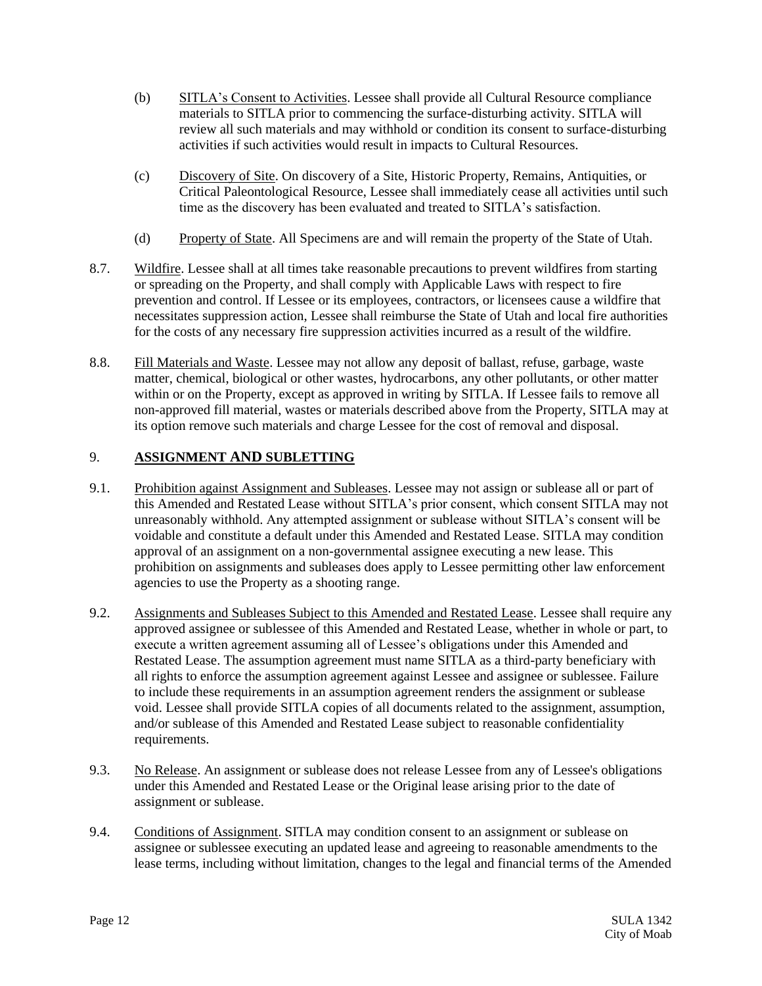- (b) SITLA's Consent to Activities. Lessee shall provide all Cultural Resource compliance materials to SITLA prior to commencing the surface-disturbing activity. SITLA will review all such materials and may withhold or condition its consent to surface-disturbing activities if such activities would result in impacts to Cultural Resources.
- (c) Discovery of Site. On discovery of a Site, Historic Property, Remains, Antiquities, or Critical Paleontological Resource, Lessee shall immediately cease all activities until such time as the discovery has been evaluated and treated to SITLA's satisfaction.
- (d) Property of State. All Specimens are and will remain the property of the State of Utah.
- 8.7. Wildfire. Lessee shall at all times take reasonable precautions to prevent wildfires from starting or spreading on the Property, and shall comply with Applicable Laws with respect to fire prevention and control. If Lessee or its employees, contractors, or licensees cause a wildfire that necessitates suppression action, Lessee shall reimburse the State of Utah and local fire authorities for the costs of any necessary fire suppression activities incurred as a result of the wildfire.
- 8.8. Fill Materials and Waste. Lessee may not allow any deposit of ballast, refuse, garbage, waste matter, chemical, biological or other wastes, hydrocarbons, any other pollutants, or other matter within or on the Property, except as approved in writing by SITLA. If Lessee fails to remove all non-approved fill material, wastes or materials described above from the Property, SITLA may at its option remove such materials and charge Lessee for the cost of removal and disposal.

## <span id="page-11-0"></span>9. **ASSIGNMENT AND SUBLETTING**

- 9.1. Prohibition against Assignment and Subleases. Lessee may not assign or sublease all or part of this Amended and Restated Lease without SITLA's prior consent, which consent SITLA may not unreasonably withhold. Any attempted assignment or sublease without SITLA's consent will be voidable and constitute a default under this Amended and Restated Lease. SITLA may condition approval of an assignment on a non-governmental assignee executing a new lease. This prohibition on assignments and subleases does apply to Lessee permitting other law enforcement agencies to use the Property as a shooting range.
- 9.2. Assignments and Subleases Subject to this Amended and Restated Lease. Lessee shall require any approved assignee or sublessee of this Amended and Restated Lease, whether in whole or part, to execute a written agreement assuming all of Lessee's obligations under this Amended and Restated Lease. The assumption agreement must name SITLA as a third-party beneficiary with all rights to enforce the assumption agreement against Lessee and assignee or sublessee. Failure to include these requirements in an assumption agreement renders the assignment or sublease void. Lessee shall provide SITLA copies of all documents related to the assignment, assumption, and/or sublease of this Amended and Restated Lease subject to reasonable confidentiality requirements.
- 9.3. No Release. An assignment or sublease does not release Lessee from any of Lessee's obligations under this Amended and Restated Lease or the Original lease arising prior to the date of assignment or sublease.
- 9.4. Conditions of Assignment. SITLA may condition consent to an assignment or sublease on assignee or sublessee executing an updated lease and agreeing to reasonable amendments to the lease terms, including without limitation, changes to the legal and financial terms of the Amended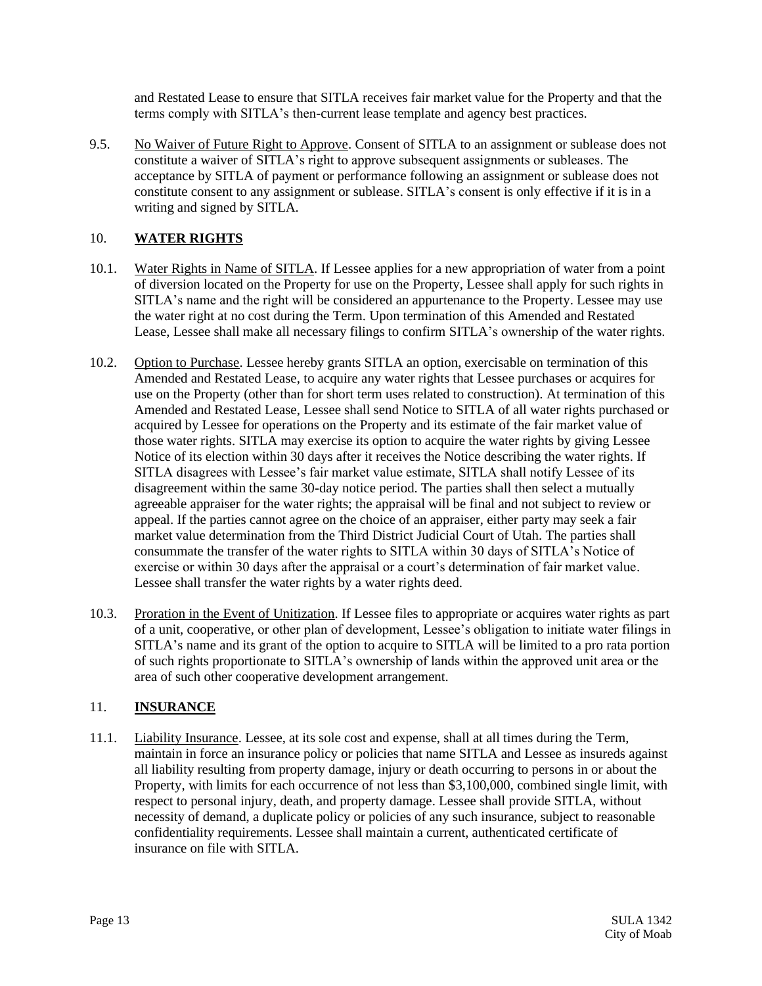and Restated Lease to ensure that SITLA receives fair market value for the Property and that the terms comply with SITLA's then-current lease template and agency best practices.

9.5. No Waiver of Future Right to Approve. Consent of SITLA to an assignment or sublease does not constitute a waiver of SITLA's right to approve subsequent assignments or subleases. The acceptance by SITLA of payment or performance following an assignment or sublease does not constitute consent to any assignment or sublease. SITLA's consent is only effective if it is in a writing and signed by SITLA.

## <span id="page-12-1"></span>10. **WATER RIGHTS**

- 10.1. Water Rights in Name of SITLA. If Lessee applies for a new appropriation of water from a point of diversion located on the Property for use on the Property, Lessee shall apply for such rights in SITLA's name and the right will be considered an appurtenance to the Property. Lessee may use the water right at no cost during the Term. Upon termination of this Amended and Restated Lease, Lessee shall make all necessary filings to confirm SITLA's ownership of the water rights.
- 10.2. Option to Purchase. Lessee hereby grants SITLA an option, exercisable on termination of this Amended and Restated Lease, to acquire any water rights that Lessee purchases or acquires for use on the Property (other than for short term uses related to construction). At termination of this Amended and Restated Lease, Lessee shall send Notice to SITLA of all water rights purchased or acquired by Lessee for operations on the Property and its estimate of the fair market value of those water rights. SITLA may exercise its option to acquire the water rights by giving Lessee Notice of its election within 30 days after it receives the Notice describing the water rights. If SITLA disagrees with Lessee's fair market value estimate, SITLA shall notify Lessee of its disagreement within the same 30-day notice period. The parties shall then select a mutually agreeable appraiser for the water rights; the appraisal will be final and not subject to review or appeal. If the parties cannot agree on the choice of an appraiser, either party may seek a fair market value determination from the Third District Judicial Court of Utah. The parties shall consummate the transfer of the water rights to SITLA within 30 days of SITLA's Notice of exercise or within 30 days after the appraisal or a court's determination of fair market value. Lessee shall transfer the water rights by a water rights deed.
- 10.3. Proration in the Event of Unitization. If Lessee files to appropriate or acquires water rights as part of a unit, cooperative, or other plan of development, Lessee's obligation to initiate water filings in SITLA's name and its grant of the option to acquire to SITLA will be limited to a pro rata portion of such rights proportionate to SITLA's ownership of lands within the approved unit area or the area of such other cooperative development arrangement.

## <span id="page-12-0"></span>11. **INSURANCE**

11.1. Liability Insurance. Lessee, at its sole cost and expense, shall at all times during the Term, maintain in force an insurance policy or policies that name SITLA and Lessee as insureds against all liability resulting from property damage, injury or death occurring to persons in or about the Property, with limits for each occurrence of not less than \$3,100,000, combined single limit, with respect to personal injury, death, and property damage. Lessee shall provide SITLA, without necessity of demand, a duplicate policy or policies of any such insurance, subject to reasonable confidentiality requirements. Lessee shall maintain a current, authenticated certificate of insurance on file with SITLA.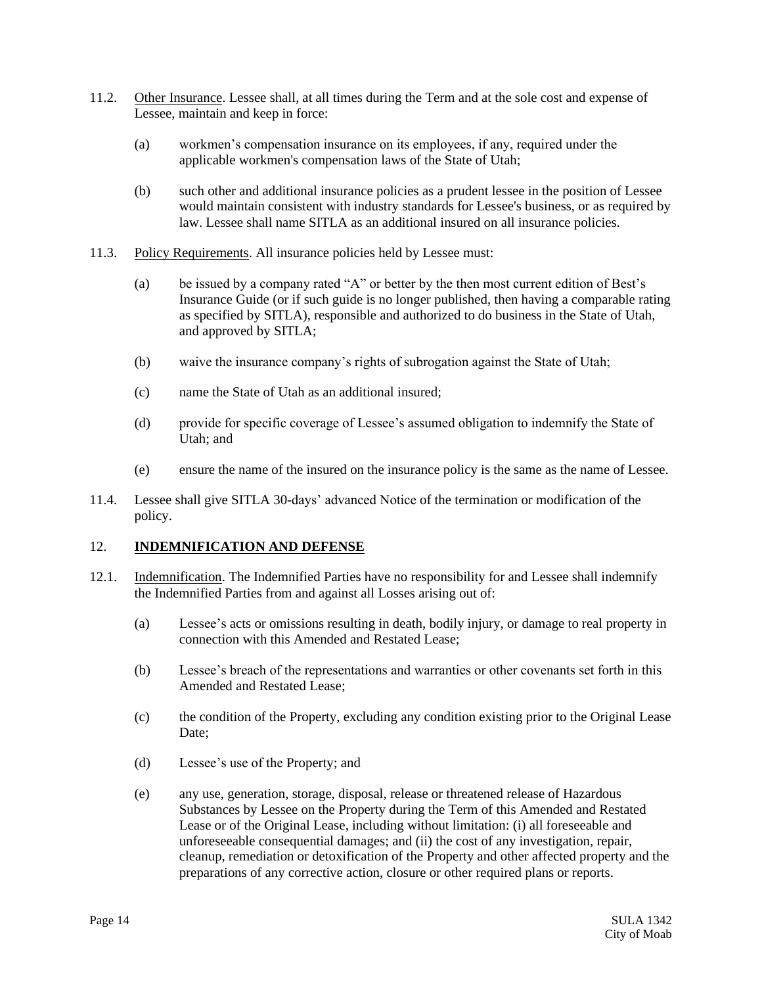- 11.2. Other Insurance. Lessee shall, at all times during the Term and at the sole cost and expense of Lessee, maintain and keep in force:
	- (a) workmen's compensation insurance on its employees, if any, required under the applicable workmen's compensation laws of the State of Utah;
	- (b) such other and additional insurance policies as a prudent lessee in the position of Lessee would maintain consistent with industry standards for Lessee's business, or as required by law. Lessee shall name SITLA as an additional insured on all insurance policies.
- 11.3. Policy Requirements. All insurance policies held by Lessee must:
	- (a) be issued by a company rated "A" or better by the then most current edition of Best's Insurance Guide (or if such guide is no longer published, then having a comparable rating as specified by SITLA), responsible and authorized to do business in the State of Utah, and approved by SITLA;
	- (b) waive the insurance company's rights of subrogation against the State of Utah;
	- (c) name the State of Utah as an additional insured;
	- (d) provide for specific coverage of Lessee's assumed obligation to indemnify the State of Utah; and
	- (e) ensure the name of the insured on the insurance policy is the same as the name of Lessee.
- 11.4. Lessee shall give SITLA 30-days' advanced Notice of the termination or modification of the policy.

#### <span id="page-13-1"></span>12. **INDEMNIFICATION AND DEFENSE**

- <span id="page-13-0"></span>12.1. Indemnification. The Indemnified Parties have no responsibility for and Lessee shall indemnify the Indemnified Parties from and against all Losses arising out of:
	- (a) Lessee's acts or omissions resulting in death, bodily injury, or damage to real property in connection with this Amended and Restated Lease;
	- (b) Lessee's breach of the representations and warranties or other covenants set forth in this Amended and Restated Lease;
	- (c) the condition of the Property, excluding any condition existing prior to the Original Lease Date:
	- (d) Lessee's use of the Property; and
	- (e) any use, generation, storage, disposal, release or threatened release of Hazardous Substances by Lessee on the Property during the Term of this Amended and Restated Lease or of the Original Lease, including without limitation: (i) all foreseeable and unforeseeable consequential damages; and (ii) the cost of any investigation, repair, cleanup, remediation or detoxification of the Property and other affected property and the preparations of any corrective action, closure or other required plans or reports.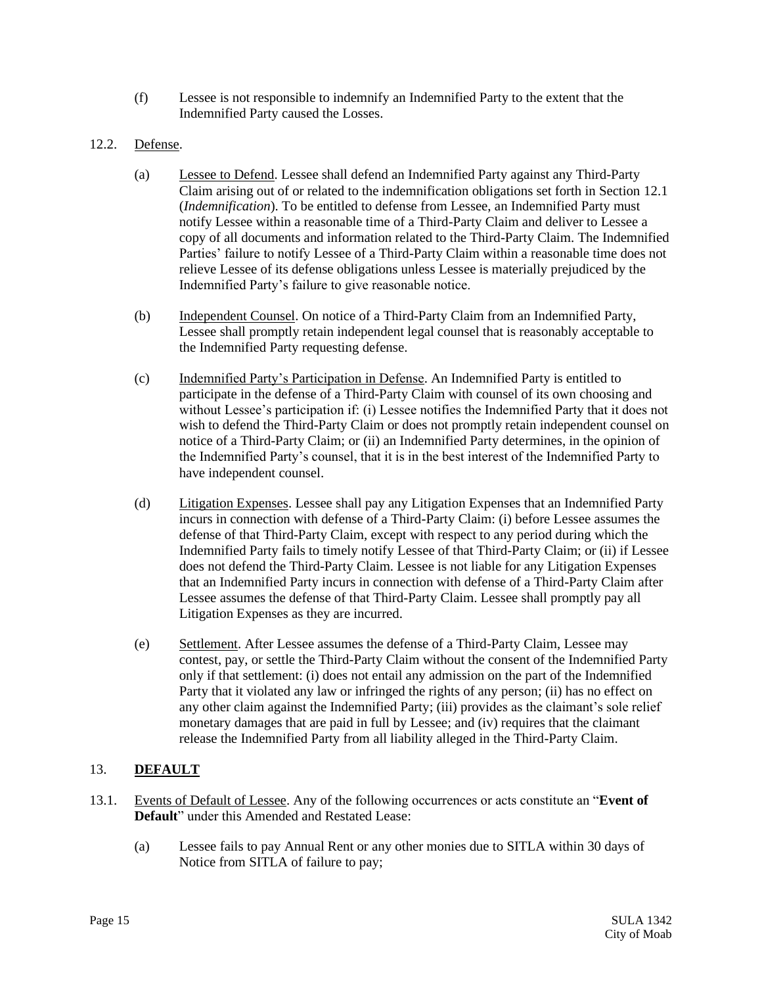(f) Lessee is not responsible to indemnify an Indemnified Party to the extent that the Indemnified Party caused the Losses.

## 12.2. Defense.

- (a) Lessee to Defend. Lessee shall defend an Indemnified Party against any Third-Party Claim arising out of or related to the indemnification obligations set forth in Section [12.1](#page-13-0) (*Indemnification*). To be entitled to defense from Lessee, an Indemnified Party must notify Lessee within a reasonable time of a Third-Party Claim and deliver to Lessee a copy of all documents and information related to the Third-Party Claim. The Indemnified Parties' failure to notify Lessee of a Third-Party Claim within a reasonable time does not relieve Lessee of its defense obligations unless Lessee is materially prejudiced by the Indemnified Party's failure to give reasonable notice.
- (b) Independent Counsel. On notice of a Third-Party Claim from an Indemnified Party, Lessee shall promptly retain independent legal counsel that is reasonably acceptable to the Indemnified Party requesting defense.
- (c) Indemnified Party's Participation in Defense. An Indemnified Party is entitled to participate in the defense of a Third-Party Claim with counsel of its own choosing and without Lessee's participation if: (i) Lessee notifies the Indemnified Party that it does not wish to defend the Third-Party Claim or does not promptly retain independent counsel on notice of a Third-Party Claim; or (ii) an Indemnified Party determines, in the opinion of the Indemnified Party's counsel, that it is in the best interest of the Indemnified Party to have independent counsel.
- (d) Litigation Expenses. Lessee shall pay any Litigation Expenses that an Indemnified Party incurs in connection with defense of a Third-Party Claim: (i) before Lessee assumes the defense of that Third-Party Claim, except with respect to any period during which the Indemnified Party fails to timely notify Lessee of that Third-Party Claim; or (ii) if Lessee does not defend the Third-Party Claim. Lessee is not liable for any Litigation Expenses that an Indemnified Party incurs in connection with defense of a Third-Party Claim after Lessee assumes the defense of that Third-Party Claim. Lessee shall promptly pay all Litigation Expenses as they are incurred.
- (e) Settlement. After Lessee assumes the defense of a Third-Party Claim, Lessee may contest, pay, or settle the Third-Party Claim without the consent of the Indemnified Party only if that settlement: (i) does not entail any admission on the part of the Indemnified Party that it violated any law or infringed the rights of any person; (ii) has no effect on any other claim against the Indemnified Party; (iii) provides as the claimant's sole relief monetary damages that are paid in full by Lessee; and (iv) requires that the claimant release the Indemnified Party from all liability alleged in the Third-Party Claim.

## 13. **DEFAULT**

- <span id="page-14-0"></span>13.1. Events of Default of Lessee. Any of the following occurrences or acts constitute an "**Event of Default**" under this Amended and Restated Lease:
	- (a) Lessee fails to pay Annual Rent or any other monies due to SITLA within 30 days of Notice from SITLA of failure to pay;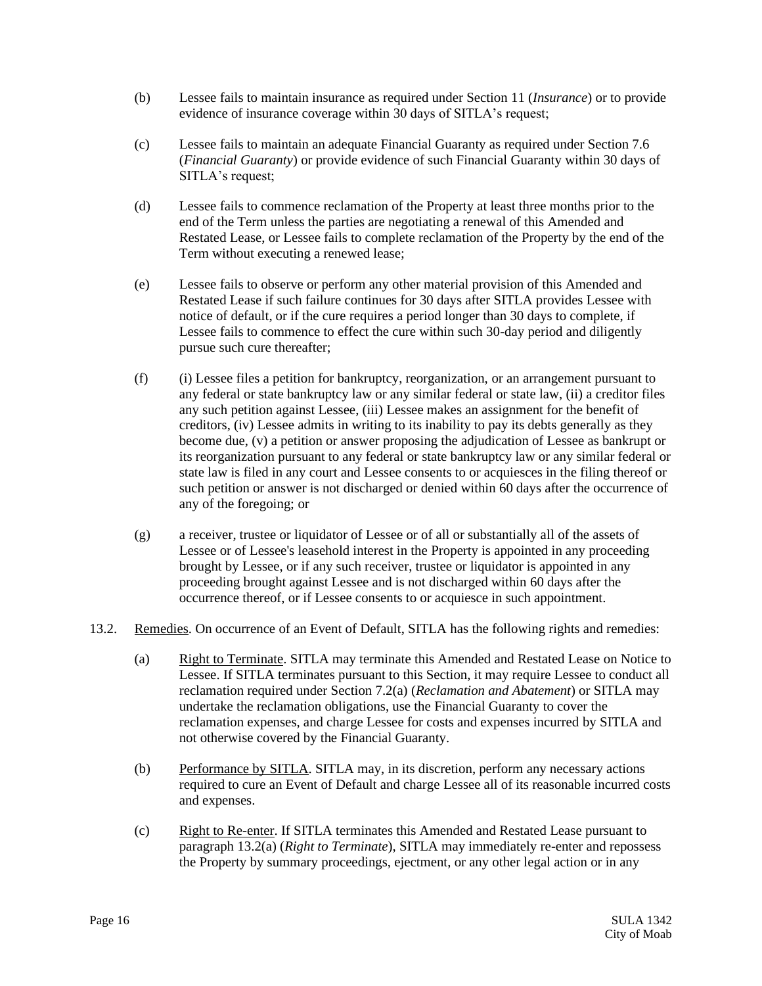- (b) Lessee fails to maintain insurance as required under Sectio[n 11](#page-12-0) (*Insurance*) or to provide evidence of insurance coverage within 30 days of SITLA's request;
- (c) Lessee fails to maintain an adequate Financial Guaranty as required under Section [7.6](#page-9-2) (*Financial Guaranty*) or provide evidence of such Financial Guaranty within 30 days of SITLA's request;
- (d) Lessee fails to commence reclamation of the Property at least three months prior to the end of the Term unless the parties are negotiating a renewal of this Amended and Restated Lease, or Lessee fails to complete reclamation of the Property by the end of the Term without executing a renewed lease;
- (e) Lessee fails to observe or perform any other material provision of this Amended and Restated Lease if such failure continues for 30 days after SITLA provides Lessee with notice of default, or if the cure requires a period longer than 30 days to complete, if Lessee fails to commence to effect the cure within such 30-day period and diligently pursue such cure thereafter;
- (f) (i) Lessee files a petition for bankruptcy, reorganization, or an arrangement pursuant to any federal or state bankruptcy law or any similar federal or state law, (ii) a creditor files any such petition against Lessee, (iii) Lessee makes an assignment for the benefit of creditors, (iv) Lessee admits in writing to its inability to pay its debts generally as they become due, (v) a petition or answer proposing the adjudication of Lessee as bankrupt or its reorganization pursuant to any federal or state bankruptcy law or any similar federal or state law is filed in any court and Lessee consents to or acquiesces in the filing thereof or such petition or answer is not discharged or denied within 60 days after the occurrence of any of the foregoing; or
- (g) a receiver, trustee or liquidator of Lessee or of all or substantially all of the assets of Lessee or of Lessee's leasehold interest in the Property is appointed in any proceeding brought by Lessee, or if any such receiver, trustee or liquidator is appointed in any proceeding brought against Lessee and is not discharged within 60 days after the occurrence thereof, or if Lessee consents to or acquiesce in such appointment.
- <span id="page-15-1"></span><span id="page-15-0"></span>13.2. Remedies. On occurrence of an Event of Default, SITLA has the following rights and remedies:
	- (a) Right to Terminate. SITLA may terminate this Amended and Restated Lease on Notice to Lessee. If SITLA terminates pursuant to this Section, it may require Lessee to conduct all reclamation required under Sectio[n 7.2\(a\)](#page-7-2) (*Reclamation and Abatement*) or SITLA may undertake the reclamation obligations, use the Financial Guaranty to cover the reclamation expenses, and charge Lessee for costs and expenses incurred by SITLA and not otherwise covered by the Financial Guaranty.
	- (b) Performance by SITLA. SITLA may, in its discretion, perform any necessary actions required to cure an Event of Default and charge Lessee all of its reasonable incurred costs and expenses.
	- (c) Right to Re-enter. If SITLA terminates this Amended and Restated Lease pursuant to paragrap[h 13.2\(a\)](#page-15-0) (*Right to Terminate*), SITLA may immediately re-enter and repossess the Property by summary proceedings, ejectment, or any other legal action or in any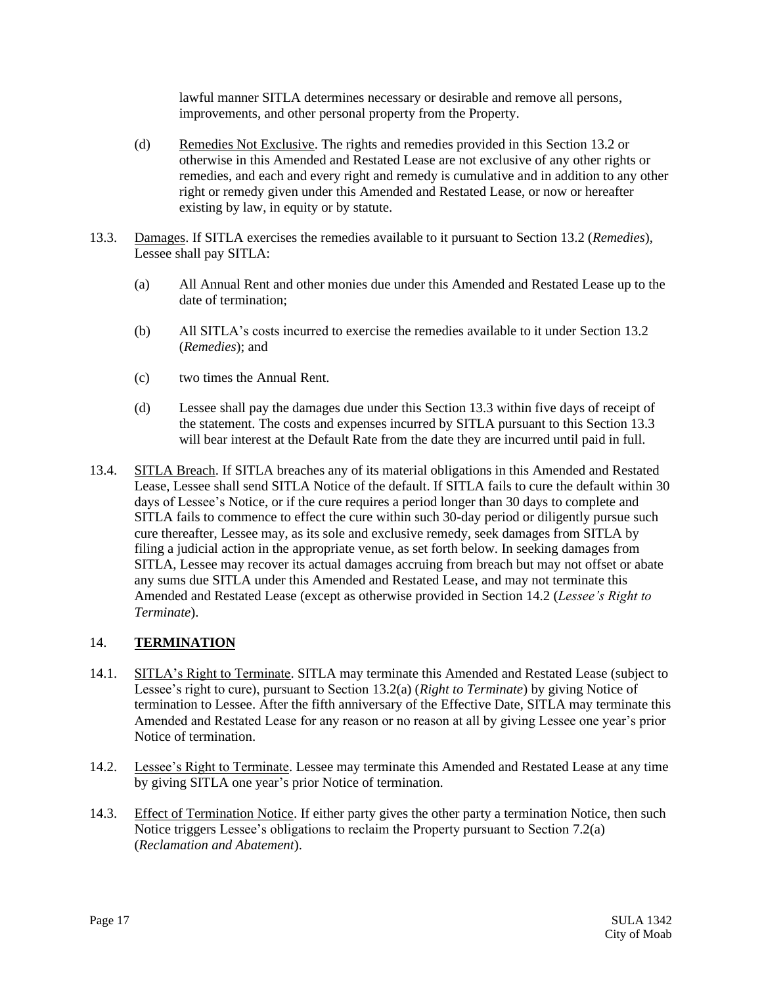lawful manner SITLA determines necessary or desirable and remove all persons, improvements, and other personal property from the Property.

- (d) Remedies Not Exclusive. The rights and remedies provided in this Section [13.2](#page-15-1) or otherwise in this Amended and Restated Lease are not exclusive of any other rights or remedies, and each and every right and remedy is cumulative and in addition to any other right or remedy given under this Amended and Restated Lease, or now or hereafter existing by law, in equity or by statute.
- <span id="page-16-0"></span>13.3. Damages. If SITLA exercises the remedies available to it pursuant to Section [13.2](#page-15-1) (*Remedies*), Lessee shall pay SITLA:
	- (a) All Annual Rent and other monies due under this Amended and Restated Lease up to the date of termination;
	- (b) All SITLA's costs incurred to exercise the remedies available to it under Sectio[n 13.2](#page-15-1) (*Remedies*); and
	- (c) two times the Annual Rent.
	- (d) Lessee shall pay the damages due under this Section [13.3](#page-16-0) within five days of receipt of the statement. The costs and expenses incurred by SITLA pursuant to this Section [13.3](#page-16-0) will bear interest at the Default Rate from the date they are incurred until paid in full.
- 13.4. SITLA Breach. If SITLA breaches any of its material obligations in this Amended and Restated Lease, Lessee shall send SITLA Notice of the default. If SITLA fails to cure the default within 30 days of Lessee's Notice, or if the cure requires a period longer than 30 days to complete and SITLA fails to commence to effect the cure within such 30-day period or diligently pursue such cure thereafter, Lessee may, as its sole and exclusive remedy, seek damages from SITLA by filing a judicial action in the appropriate venue, as set forth below. In seeking damages from SITLA, Lessee may recover its actual damages accruing from breach but may not offset or abate any sums due SITLA under this Amended and Restated Lease, and may not terminate this Amended and Restated Lease (except as otherwise provided in Sectio[n 14.2](#page-16-1) (*Lessee's Right to Terminate*).

## 14. **TERMINATION**

- 14.1. SITLA's Right to Terminate. SITLA may terminate this Amended and Restated Lease (subject to Lessee's right to cure), pursuant to Section [13.2\(a\)](#page-15-0) (*Right to Terminate*) by giving Notice of termination to Lessee. After the fifth anniversary of the Effective Date, SITLA may terminate this Amended and Restated Lease for any reason or no reason at all by giving Lessee one year's prior Notice of termination.
- <span id="page-16-1"></span>14.2. Lessee's Right to Terminate. Lessee may terminate this Amended and Restated Lease at any time by giving SITLA one year's prior Notice of termination.
- 14.3. Effect of Termination Notice. If either party gives the other party a termination Notice, then such Notice triggers Lessee's obligations to reclaim the Property pursuant to Section [7.2\(a\)](#page-7-2) (*Reclamation and Abatement*).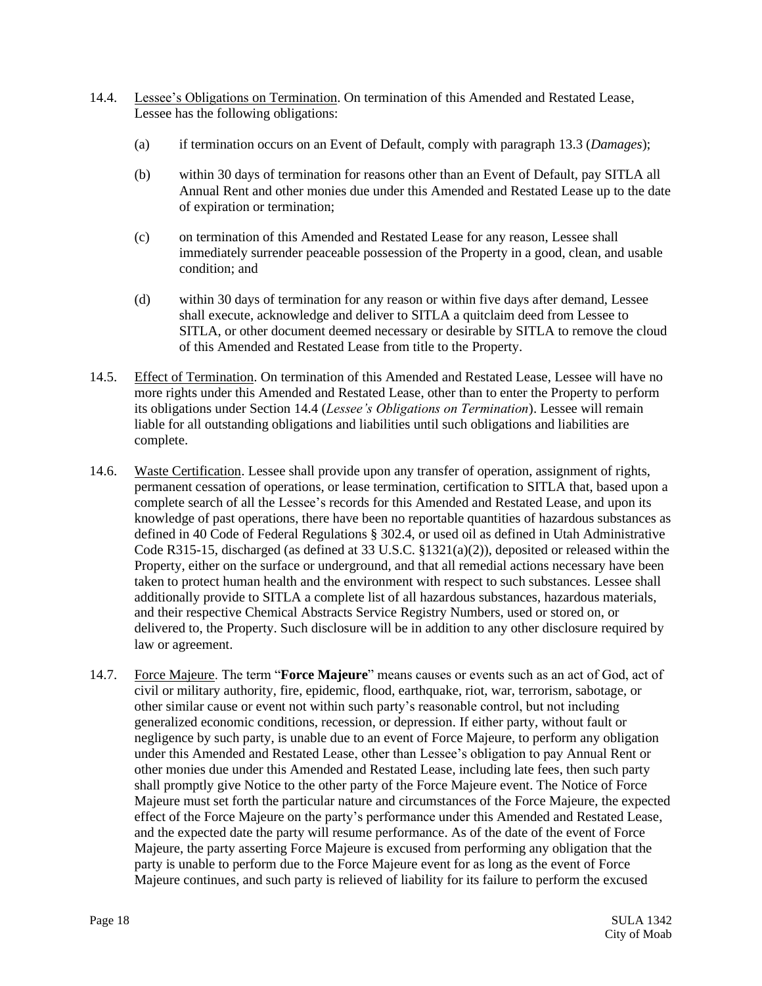- <span id="page-17-1"></span>14.4. Lessee's Obligations on Termination. On termination of this Amended and Restated Lease, Lessee has the following obligations:
	- (a) if termination occurs on an Event of Default, comply with paragraph [13.3](#page-16-0) (*Damages*);
	- (b) within 30 days of termination for reasons other than an Event of Default, pay SITLA all Annual Rent and other monies due under this Amended and Restated Lease up to the date of expiration or termination;
	- (c) on termination of this Amended and Restated Lease for any reason, Lessee shall immediately surrender peaceable possession of the Property in a good, clean, and usable condition; and
	- (d) within 30 days of termination for any reason or within five days after demand, Lessee shall execute, acknowledge and deliver to SITLA a quitclaim deed from Lessee to SITLA, or other document deemed necessary or desirable by SITLA to remove the cloud of this Amended and Restated Lease from title to the Property.
- 14.5. Effect of Termination. On termination of this Amended and Restated Lease, Lessee will have no more rights under this Amended and Restated Lease, other than to enter the Property to perform its obligations under Section [14.4](#page-17-1) (*Lessee's Obligations on Termination*). Lessee will remain liable for all outstanding obligations and liabilities until such obligations and liabilities are complete.
- 14.6. Waste Certification. Lessee shall provide upon any transfer of operation, assignment of rights, permanent cessation of operations, or lease termination, certification to SITLA that, based upon a complete search of all the Lessee's records for this Amended and Restated Lease, and upon its knowledge of past operations, there have been no reportable quantities of hazardous substances as defined in 40 Code of Federal Regulations § 302.4, or used oil as defined in Utah Administrative Code R315-15, discharged (as defined at 33 U.S.C.  $\S$ 1321(a)(2)), deposited or released within the Property, either on the surface or underground, and that all remedial actions necessary have been taken to protect human health and the environment with respect to such substances. Lessee shall additionally provide to SITLA a complete list of all hazardous substances, hazardous materials, and their respective Chemical Abstracts Service Registry Numbers, used or stored on, or delivered to, the Property. Such disclosure will be in addition to any other disclosure required by law or agreement.
- <span id="page-17-0"></span>14.7. Force Majeure. The term "**Force Majeure**" means causes or events such as an act of God, act of civil or military authority, fire, epidemic, flood, earthquake, riot, war, terrorism, sabotage, or other similar cause or event not within such party's reasonable control, but not including generalized economic conditions, recession, or depression. If either party, without fault or negligence by such party, is unable due to an event of Force Majeure, to perform any obligation under this Amended and Restated Lease, other than Lessee's obligation to pay Annual Rent or other monies due under this Amended and Restated Lease, including late fees, then such party shall promptly give Notice to the other party of the Force Majeure event. The Notice of Force Majeure must set forth the particular nature and circumstances of the Force Majeure, the expected effect of the Force Majeure on the party's performance under this Amended and Restated Lease, and the expected date the party will resume performance. As of the date of the event of Force Majeure, the party asserting Force Majeure is excused from performing any obligation that the party is unable to perform due to the Force Majeure event for as long as the event of Force Majeure continues, and such party is relieved of liability for its failure to perform the excused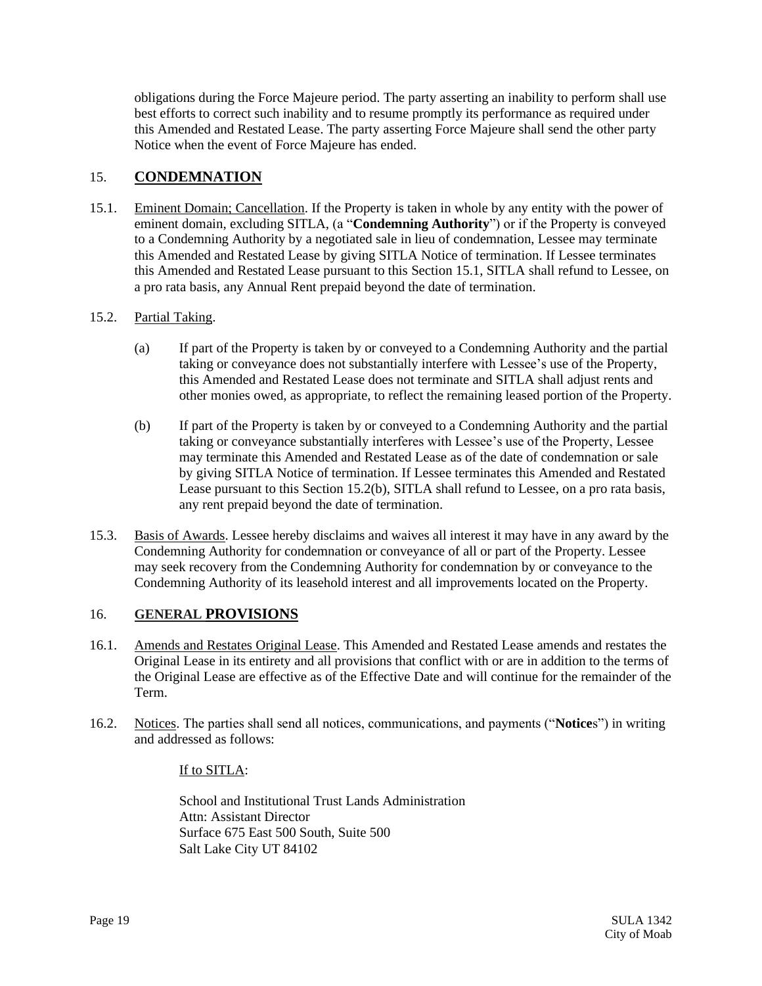obligations during the Force Majeure period. The party asserting an inability to perform shall use best efforts to correct such inability and to resume promptly its performance as required under this Amended and Restated Lease. The party asserting Force Majeure shall send the other party Notice when the event of Force Majeure has ended.

# 15. **CONDEMNATION**

<span id="page-18-0"></span>15.1. Eminent Domain; Cancellation. If the Property is taken in whole by any entity with the power of eminent domain, excluding SITLA, (a "**Condemning Authority**") or if the Property is conveyed to a Condemning Authority by a negotiated sale in lieu of condemnation, Lessee may terminate this Amended and Restated Lease by giving SITLA Notice of termination. If Lessee terminates this Amended and Restated Lease pursuant to this Section [15.1,](#page-18-0) SITLA shall refund to Lessee, on a pro rata basis, any Annual Rent prepaid beyond the date of termination.

### 15.2. Partial Taking.

- (a) If part of the Property is taken by or conveyed to a Condemning Authority and the partial taking or conveyance does not substantially interfere with Lessee's use of the Property, this Amended and Restated Lease does not terminate and SITLA shall adjust rents and other monies owed, as appropriate, to reflect the remaining leased portion of the Property.
- <span id="page-18-2"></span>(b) If part of the Property is taken by or conveyed to a Condemning Authority and the partial taking or conveyance substantially interferes with Lessee's use of the Property, Lessee may terminate this Amended and Restated Lease as of the date of condemnation or sale by giving SITLA Notice of termination. If Lessee terminates this Amended and Restated Lease pursuant to this Sectio[n 15.2\(b\),](#page-18-2) SITLA shall refund to Lessee, on a pro rata basis, any rent prepaid beyond the date of termination.
- 15.3. Basis of Awards. Lessee hereby disclaims and waives all interest it may have in any award by the Condemning Authority for condemnation or conveyance of all or part of the Property. Lessee may seek recovery from the Condemning Authority for condemnation by or conveyance to the Condemning Authority of its leasehold interest and all improvements located on the Property.

## 16. **GENERAL PROVISIONS**

- <span id="page-18-1"></span>16.1. Amends and Restates Original Lease. This Amended and Restated Lease amends and restates the Original Lease in its entirety and all provisions that conflict with or are in addition to the terms of the Original Lease are effective as of the Effective Date and will continue for the remainder of the Term.
- 16.2. Notices. The parties shall send all notices, communications, and payments ("**Notice**s") in writing and addressed as follows:

## If to SITLA:

School and Institutional Trust Lands Administration Attn: Assistant Director Surface 675 East 500 South, Suite 500 Salt Lake City UT 84102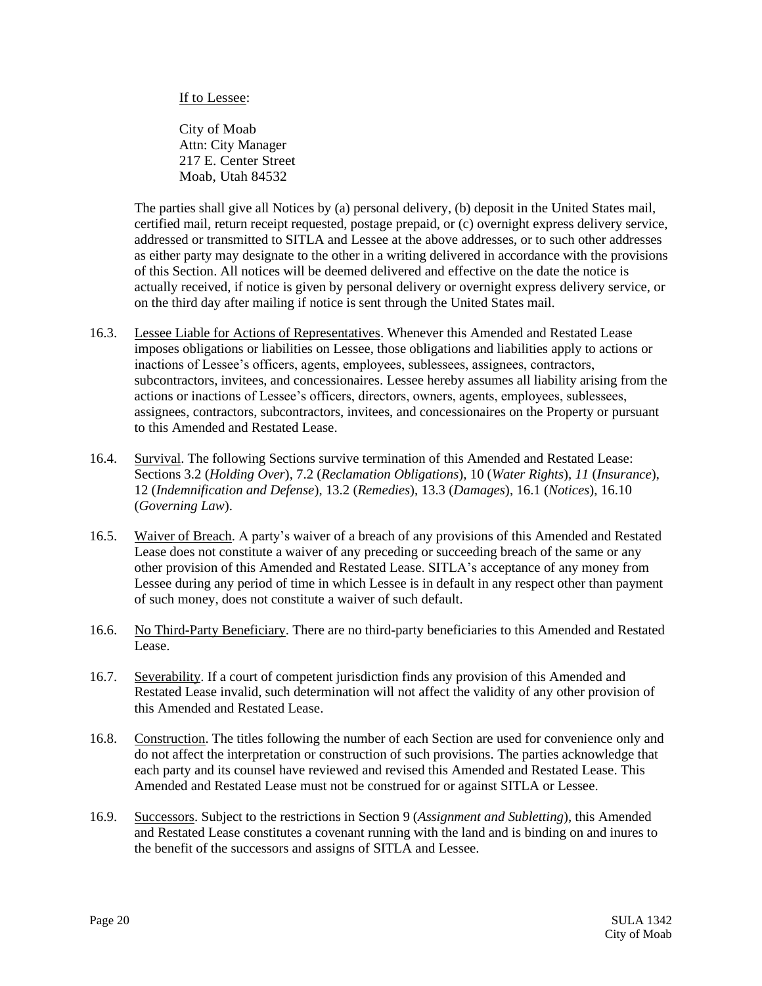If to Lessee:

City of Moab Attn: City Manager 217 E. Center Street Moab, Utah 84532

The parties shall give all Notices by (a) personal delivery, (b) deposit in the United States mail, certified mail, return receipt requested, postage prepaid, or (c) overnight express delivery service, addressed or transmitted to SITLA and Lessee at the above addresses, or to such other addresses as either party may designate to the other in a writing delivered in accordance with the provisions of this Section. All notices will be deemed delivered and effective on the date the notice is actually received, if notice is given by personal delivery or overnight express delivery service, or on the third day after mailing if notice is sent through the United States mail.

- 16.3. Lessee Liable for Actions of Representatives. Whenever this Amended and Restated Lease imposes obligations or liabilities on Lessee, those obligations and liabilities apply to actions or inactions of Lessee's officers, agents, employees, sublessees, assignees, contractors, subcontractors, invitees, and concessionaires. Lessee hereby assumes all liability arising from the actions or inactions of Lessee's officers, directors, owners, agents, employees, sublessees, assignees, contractors, subcontractors, invitees, and concessionaires on the Property or pursuant to this Amended and Restated Lease.
- 16.4. Survival. The following Sections survive termination of this Amended and Restated Lease: Sections [3.2](#page-4-2) (*Holding Over*), [7.2](#page-7-3) (*Reclamation Obligations*)*,* [10](#page-12-1) (*Water Rights*)*, [11](#page-12-0)* (*Insurance*), [12](#page-13-1) (*Indemnification and Defense*)[, 13.2](#page-15-1) (*Remedies*)[, 13.3](#page-16-0) (*Damages*), [16.1](#page-18-1) (*Notices*), [16.10](#page-20-0) (*Governing Law*).
- 16.5. Waiver of Breach. A party's waiver of a breach of any provisions of this Amended and Restated Lease does not constitute a waiver of any preceding or succeeding breach of the same or any other provision of this Amended and Restated Lease. SITLA's acceptance of any money from Lessee during any period of time in which Lessee is in default in any respect other than payment of such money, does not constitute a waiver of such default.
- 16.6. No Third-Party Beneficiary. There are no third-party beneficiaries to this Amended and Restated Lease.
- 16.7. Severability. If a court of competent jurisdiction finds any provision of this Amended and Restated Lease invalid, such determination will not affect the validity of any other provision of this Amended and Restated Lease.
- 16.8. Construction. The titles following the number of each Section are used for convenience only and do not affect the interpretation or construction of such provisions. The parties acknowledge that each party and its counsel have reviewed and revised this Amended and Restated Lease. This Amended and Restated Lease must not be construed for or against SITLA or Lessee.
- 16.9. Successors. Subject to the restrictions in Sectio[n 9](#page-11-0) (*Assignment and Subletting*), this Amended and Restated Lease constitutes a covenant running with the land and is binding on and inures to the benefit of the successors and assigns of SITLA and Lessee.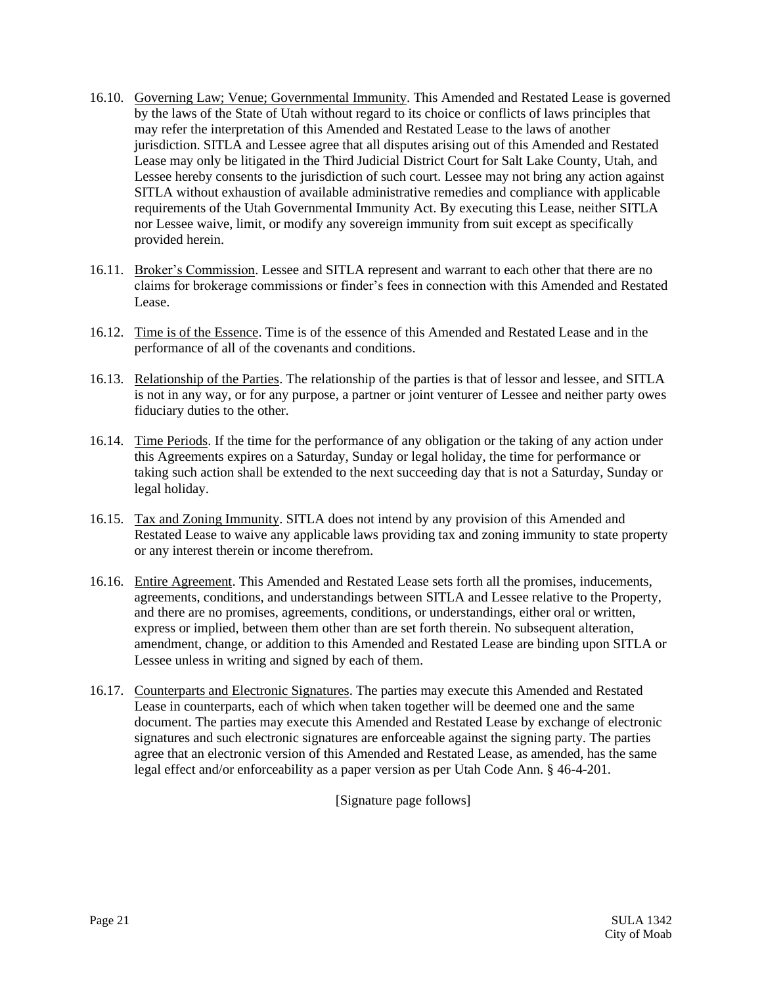- <span id="page-20-0"></span>16.10. Governing Law; Venue; Governmental Immunity. This Amended and Restated Lease is governed by the laws of the State of Utah without regard to its choice or conflicts of laws principles that may refer the interpretation of this Amended and Restated Lease to the laws of another jurisdiction. SITLA and Lessee agree that all disputes arising out of this Amended and Restated Lease may only be litigated in the Third Judicial District Court for Salt Lake County, Utah, and Lessee hereby consents to the jurisdiction of such court. Lessee may not bring any action against SITLA without exhaustion of available administrative remedies and compliance with applicable requirements of the Utah Governmental Immunity Act. By executing this Lease, neither SITLA nor Lessee waive, limit, or modify any sovereign immunity from suit except as specifically provided herein.
- 16.11. Broker's Commission. Lessee and SITLA represent and warrant to each other that there are no claims for brokerage commissions or finder's fees in connection with this Amended and Restated Lease.
- 16.12. Time is of the Essence. Time is of the essence of this Amended and Restated Lease and in the performance of all of the covenants and conditions.
- 16.13. Relationship of the Parties. The relationship of the parties is that of lessor and lessee, and SITLA is not in any way, or for any purpose, a partner or joint venturer of Lessee and neither party owes fiduciary duties to the other.
- 16.14. Time Periods. If the time for the performance of any obligation or the taking of any action under this Agreements expires on a Saturday, Sunday or legal holiday, the time for performance or taking such action shall be extended to the next succeeding day that is not a Saturday, Sunday or legal holiday.
- 16.15. Tax and Zoning Immunity. SITLA does not intend by any provision of this Amended and Restated Lease to waive any applicable laws providing tax and zoning immunity to state property or any interest therein or income therefrom.
- 16.16. Entire Agreement. This Amended and Restated Lease sets forth all the promises, inducements, agreements, conditions, and understandings between SITLA and Lessee relative to the Property, and there are no promises, agreements, conditions, or understandings, either oral or written, express or implied, between them other than are set forth therein. No subsequent alteration, amendment, change, or addition to this Amended and Restated Lease are binding upon SITLA or Lessee unless in writing and signed by each of them.
- 16.17. Counterparts and Electronic Signatures. The parties may execute this Amended and Restated Lease in counterparts, each of which when taken together will be deemed one and the same document. The parties may execute this Amended and Restated Lease by exchange of electronic signatures and such electronic signatures are enforceable against the signing party. The parties agree that an electronic version of this Amended and Restated Lease, as amended, has the same legal effect and/or enforceability as a paper version as per Utah Code Ann. § 46-4-201.

[Signature page follows]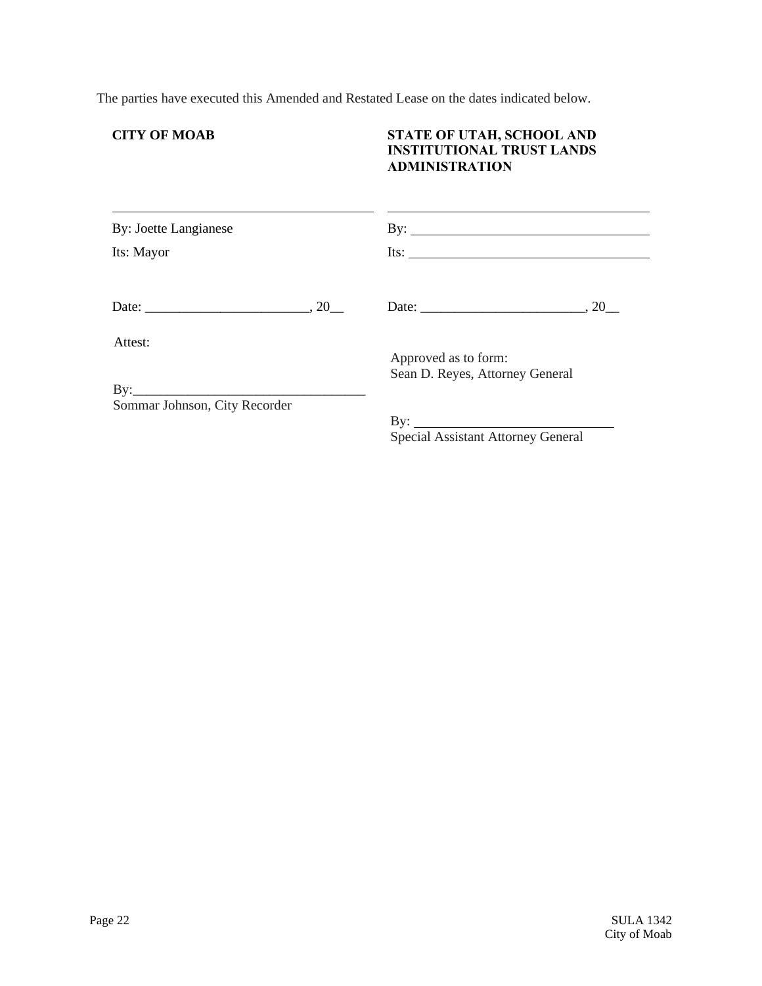The parties have executed this Amended and Restated Lease on the dates indicated below.

# **CITY OF MOAB**

## **STATE OF UTAH, SCHOOL AND INSTITUTIONAL TRUST LANDS ADMINISTRATION**

| By: Joette Langianese<br>Its: Mayor                          | By: $\qquad \qquad$<br>Its: $\qquad \qquad$               |
|--------------------------------------------------------------|-----------------------------------------------------------|
|                                                              |                                                           |
| Attest:                                                      | Approved as to form:<br>Sean D. Reyes, Attorney General   |
| $\mathbf{By:}\_\_\_\_\_\_\$<br>Sommar Johnson, City Recorder |                                                           |
|                                                              | By: $\qquad \qquad$<br>Special Assistant Attorney General |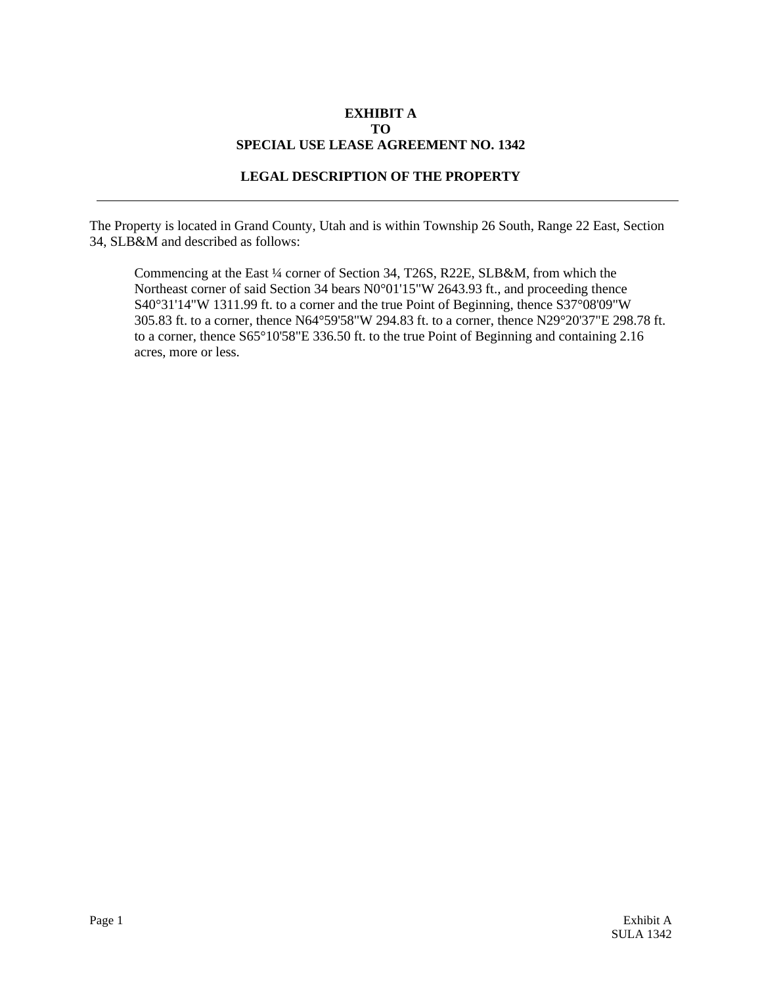## **EXHIBIT A TO SPECIAL USE LEASE AGREEMENT NO. 1342**

## **LEGAL DESCRIPTION OF THE PROPERTY**

The Property is located in Grand County, Utah and is within Township 26 South, Range 22 East, Section 34, SLB&M and described as follows:

Commencing at the East ¼ corner of Section 34, T26S, R22E, SLB&M, from which the Northeast corner of said Section 34 bears N0°01'15"W 2643.93 ft., and proceeding thence S40°31'14"W 1311.99 ft. to a corner and the true Point of Beginning, thence S37°08'09"W 305.83 ft. to a corner, thence N64°59'58"W 294.83 ft. to a corner, thence N29°20'37"E 298.78 ft. to a corner, thence S65°10'58"E 336.50 ft. to the true Point of Beginning and containing 2.16 acres, more or less.